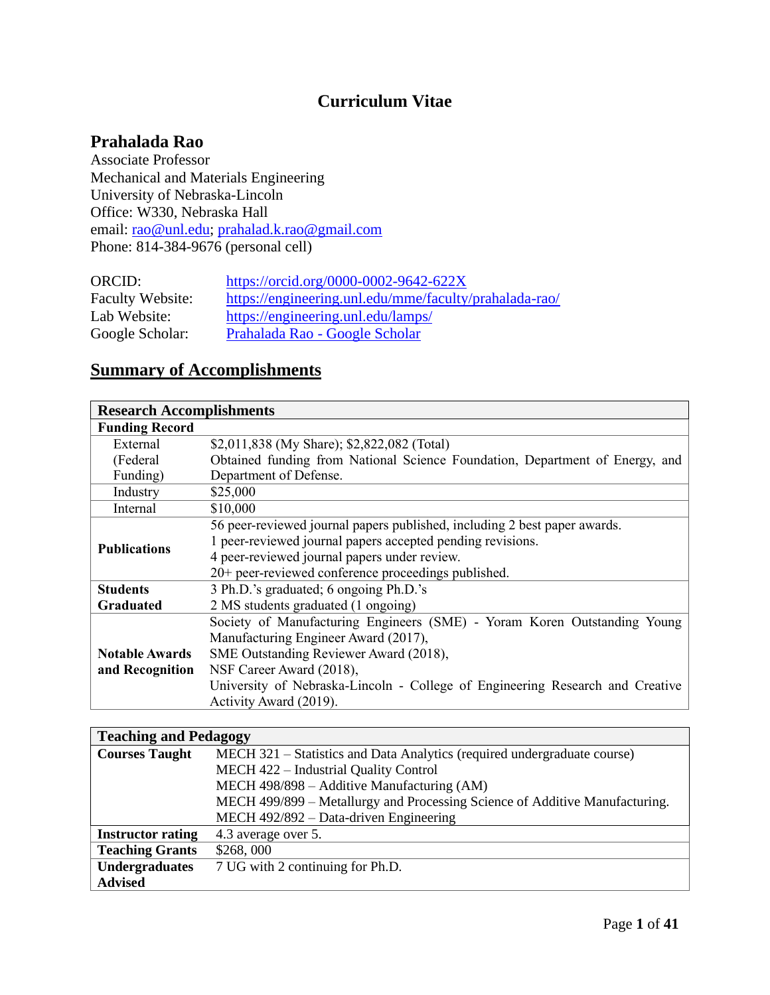# **Curriculum Vitae**

# **Prahalada Rao**

Associate Professor Mechanical and Materials Engineering University of Nebraska-Lincoln Office: W330, Nebraska Hall email: [rao@unl.edu;](mailto:rao@unl.edu) [prahalad.k.rao@gmail.com](mailto:prahalad.k.rao@gmail.com) Phone: 814-384-9676 (personal cell)

| ORCID:                  | https://orcid.org/0000-0002-9642-622X                  |
|-------------------------|--------------------------------------------------------|
| <b>Faculty Website:</b> | https://engineering.unl.edu/mme/faculty/prahalada-rao/ |
| Lab Website:            | https://engineering.unl.edu/lamps/                     |
| Google Scholar:         | Prahalada Rao - Google Scholar                         |

# **Summary of Accomplishments**

| <b>Research Accomplishments</b> |                                                                               |  |  |  |
|---------------------------------|-------------------------------------------------------------------------------|--|--|--|
| <b>Funding Record</b>           |                                                                               |  |  |  |
| External                        | \$2,011,838 (My Share); \$2,822,082 (Total)                                   |  |  |  |
| (Federal                        | Obtained funding from National Science Foundation, Department of Energy, and  |  |  |  |
| Funding)                        | Department of Defense.                                                        |  |  |  |
| Industry                        | \$25,000                                                                      |  |  |  |
| Internal                        | \$10,000                                                                      |  |  |  |
|                                 | 56 peer-reviewed journal papers published, including 2 best paper awards.     |  |  |  |
| <b>Publications</b>             | 1 peer-reviewed journal papers accepted pending revisions.                    |  |  |  |
|                                 | 4 peer-reviewed journal papers under review.                                  |  |  |  |
|                                 | 20+ peer-reviewed conference proceedings published.                           |  |  |  |
| <b>Students</b>                 | 3 Ph.D.'s graduated; 6 ongoing Ph.D.'s                                        |  |  |  |
| Graduated                       | 2 MS students graduated (1 ongoing)                                           |  |  |  |
|                                 | Society of Manufacturing Engineers (SME) - Yoram Koren Outstanding Young      |  |  |  |
|                                 | Manufacturing Engineer Award (2017),                                          |  |  |  |
| <b>Notable Awards</b>           | SME Outstanding Reviewer Award (2018),                                        |  |  |  |
| and Recognition                 | NSF Career Award (2018),                                                      |  |  |  |
|                                 | University of Nebraska-Lincoln - College of Engineering Research and Creative |  |  |  |
|                                 | Activity Award (2019).                                                        |  |  |  |

| <b>Teaching and Pedagogy</b> |                                                                             |  |  |  |  |  |
|------------------------------|-----------------------------------------------------------------------------|--|--|--|--|--|
| <b>Courses Taught</b>        | MECH 321 – Statistics and Data Analytics (required undergraduate course)    |  |  |  |  |  |
|                              | MECH 422 - Industrial Quality Control                                       |  |  |  |  |  |
|                              | MECH 498/898 - Additive Manufacturing (AM)                                  |  |  |  |  |  |
|                              | MECH 499/899 - Metallurgy and Processing Science of Additive Manufacturing. |  |  |  |  |  |
|                              | MECH 492/892 - Data-driven Engineering                                      |  |  |  |  |  |
| <b>Instructor rating</b>     | 4.3 average over 5.                                                         |  |  |  |  |  |
| <b>Teaching Grants</b>       | \$268,000                                                                   |  |  |  |  |  |
| <b>Undergraduates</b>        | 7 UG with 2 continuing for Ph.D.                                            |  |  |  |  |  |
| <b>Advised</b>               |                                                                             |  |  |  |  |  |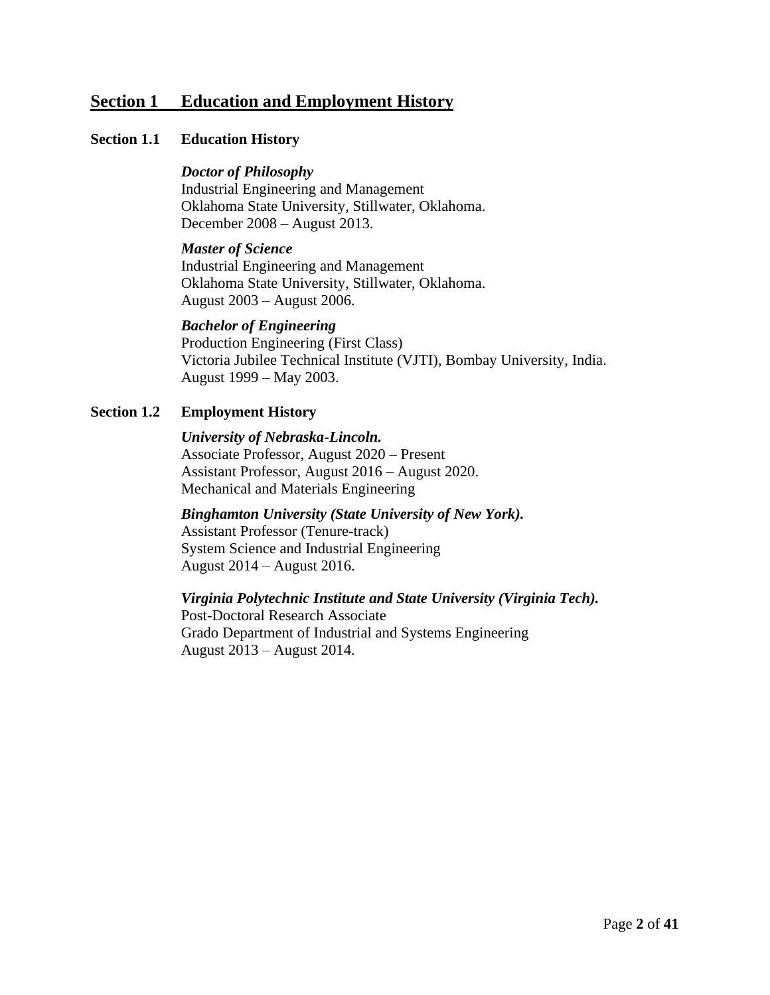# **Section 1 Education and Employment History**

# **Section 1.1 Education History**

# *Doctor of Philosophy*

Industrial Engineering and Management Oklahoma State University, Stillwater, Oklahoma. December 2008 – August 2013.

#### *Master of Science*

Industrial Engineering and Management Oklahoma State University, Stillwater, Oklahoma. August 2003 – August 2006.

# *Bachelor of Engineering*

Production Engineering (First Class) Victoria Jubilee Technical Institute (VJTI), Bombay University, India. August 1999 – May 2003.

# **Section 1.2 Employment History**

#### *University of Nebraska-Lincoln.*

Associate Professor, August 2020 – Present Assistant Professor, August 2016 – August 2020. Mechanical and Materials Engineering

# *Binghamton University (State University of New York).*  Assistant Professor (Tenure-track)

System Science and Industrial Engineering August 2014 – August 2016.

# *Virginia Polytechnic Institute and State University (Virginia Tech).*

Post-Doctoral Research Associate Grado Department of Industrial and Systems Engineering August 2013 – August 2014.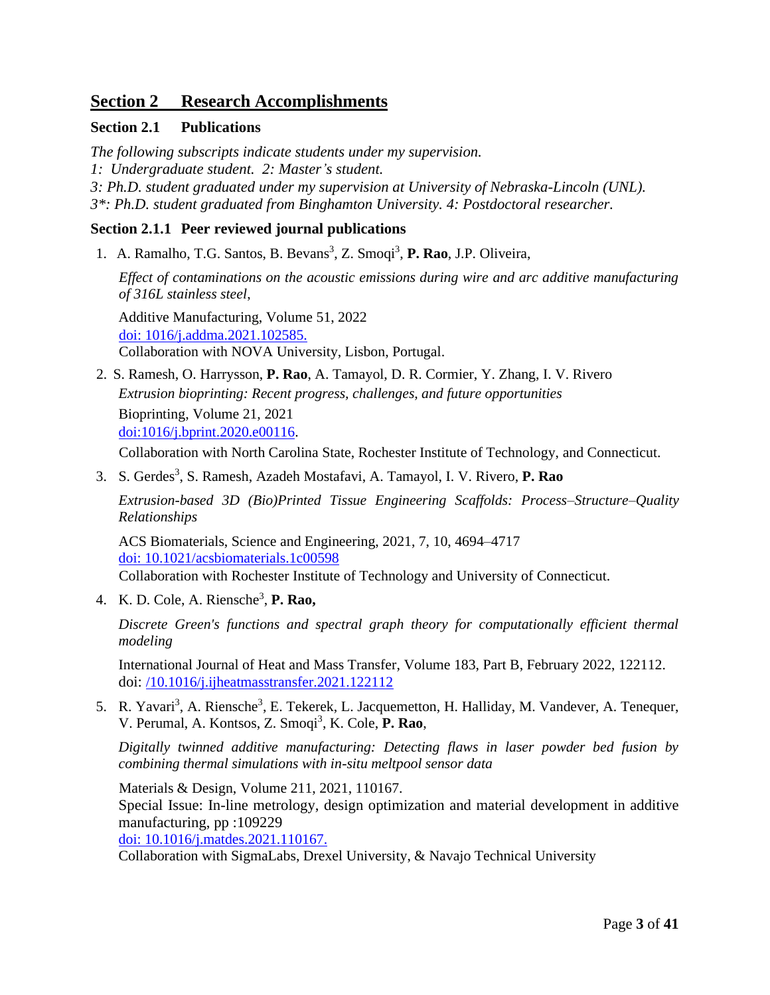# **Section 2 Research Accomplishments**

# **Section 2.1 Publications**

*The following subscripts indicate students under my supervision. 1: Undergraduate student. 2: Master's student. 3: Ph.D. student graduated under my supervision at University of Nebraska-Lincoln (UNL). 3\*: Ph.D. student graduated from Binghamton University. 4: Postdoctoral researcher.*

# **Section 2.1.1 Peer reviewed journal publications**

1. A. Ramalho, T.G. Santos, B. Bevans<sup>3</sup>, Z. Smoqi<sup>3</sup>, P. Rao, J.P. Oliveira,

*Effect of contaminations on the acoustic emissions during wire and arc additive manufacturing of 316L stainless steel*,

Additive Manufacturing, Volume 51, 2022 [doi: 1016/j.addma.2021.102585.](https://www.sciencedirect.com/science/article/pii/S2214860421007326?dgcid=author) Collaboration with NOVA University, Lisbon, Portugal.

2. S. Ramesh, O. Harrysson, **P. Rao**, A. Tamayol, D. R. Cormier, Y. Zhang, I. V. Rivero *Extrusion bioprinting: Recent progress, challenges, and future opportunities* Bioprinting, Volume 21, 2021 [doi:1016/j.bprint.2020.e00116.](https://doi.org/10.1016/j.bprint.2020.e00116)

Collaboration with North Carolina State, Rochester Institute of Technology, and Connecticut.

3. S. Gerdes<sup>3</sup>, S. Ramesh, Azadeh Mostafavi, A. Tamayol, I. V. Rivero, P. Rao

*Extrusion-based 3D (Bio)Printed Tissue Engineering Scaffolds: Process–Structure–Quality Relationships*

ACS Biomaterials, Science and Engineering, 2021, 7, 10, 4694–4717 [doi: 10.1021/acsbiomaterials.1c00598](https://doi.org/10.1021/acsbiomaterials.1c00598)

Collaboration with Rochester Institute of Technology and University of Connecticut.

4. K. D. Cole, A. Riensche<sup>3</sup> , **P. Rao,**

*Discrete Green's functions and spectral graph theory for computationally efficient thermal modeling*

International Journal of Heat and Mass Transfer, Volume 183, Part B, February 2022, 122112. doi: [/10.1016/j.ijheatmasstransfer.2021.122112](https://doi.org/10.1016/j.ijheatmasstransfer.2021.122112)

5. R. Yavari<sup>3</sup>, A. Riensche<sup>3</sup>, E. Tekerek, L. Jacquemetton, H. Halliday, M. Vandever, A. Tenequer, V. Perumal, A. Kontsos, Z. Smoqi<sup>3</sup>, K. Cole, P. Rao,

*Digitally twinned additive manufacturing: Detecting flaws in laser powder bed fusion by combining thermal simulations with in-situ meltpool sensor data*

Materials & Design, Volume 211, 2021, 110167.

Special Issue: In-line metrology, design optimization and material development in additive manufacturing, pp :109229

[doi: 10.1016/j.matdes.2021.110167.](https://www.sciencedirect.com/science/article/pii/S026412752100722X)

Collaboration with SigmaLabs, Drexel University, & Navajo Technical University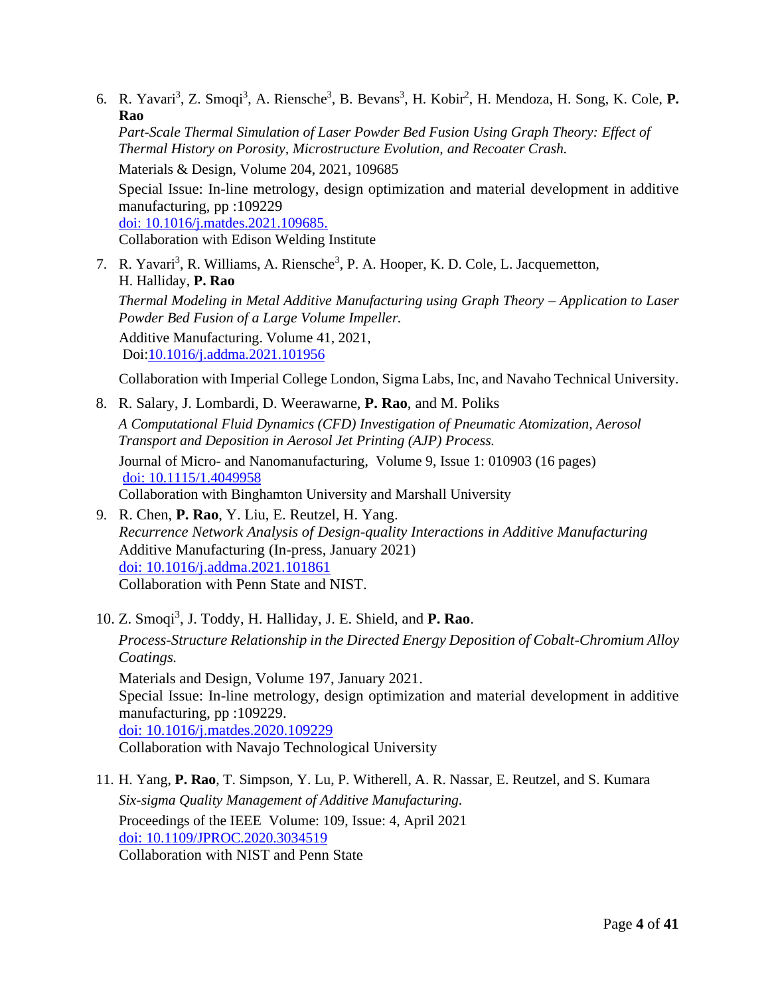6. R. Yavari<sup>3</sup>, Z. Smoqi<sup>3</sup>, A. Riensche<sup>3</sup>, B. Bevans<sup>3</sup>, H. Kobir<sup>2</sup>, H. Mendoza, H. Song, K. Cole, **P. Rao**

*Part-Scale Thermal Simulation of Laser Powder Bed Fusion Using Graph Theory: Effect of Thermal History on Porosity, Microstructure Evolution, and Recoater Crash.*

Materials & Design, Volume 204, 2021, 109685

Special Issue: In-line metrology, design optimization and material development in additive manufacturing, pp :109229

[doi: 10.1016/j.matdes.2021.109685.](https://www.sciencedirect.com/science/article/pii/S0264127521002379)

Collaboration with Edison Welding Institute

7. R. Yavari<sup>3</sup>, R. Williams, A. Riensche<sup>3</sup>, P. A. Hooper, K. D. Cole, L. Jacquemetton, H. Halliday, **P. Rao** *Thermal Modeling in Metal Additive Manufacturing using Graph Theory – Application to Laser Powder Bed Fusion of a Large Volume Impeller.* Additive Manufacturing. Volume 41, 2021,

Doi[:10.1016/j.addma.2021.101956](https://doi.org/10.1016/j.addma.2021.101956)

Collaboration with Imperial College London, Sigma Labs, Inc, and Navaho Technical University.

- 8. R. Salary, J. Lombardi, D. Weerawarne, **P. Rao**, and M. Poliks *A Computational Fluid Dynamics (CFD) Investigation of Pneumatic Atomization, Aerosol Transport and Deposition in Aerosol Jet Printing (AJP) Process.*  Journal of Micro- and Nanomanufacturing, Volume 9, Issue 1: 010903 (16 pages) doi: [10.1115/1.4049958](https://doi.org/10.1115/1.4049958) Collaboration with Binghamton University and Marshall University
- 9. R. Chen, **P. Rao**, Y. Liu, E. Reutzel, H. Yang. *Recurrence Network Analysis of Design-quality Interactions in Additive Manufacturing* Additive Manufacturing (In-press, January 2021) doi: [10.1016/j.addma.2021.101861](https://doi.org/10.1016/j.addma.2021.101861) Collaboration with Penn State and NIST.
- 10. Z. Smoqi<sup>3</sup> , J. Toddy, H. Halliday, J. E. Shield, and **P. Rao**. *Process-Structure Relationship in the Directed Energy Deposition of Cobalt-Chromium Alloy Coatings.* Materials and Design, Volume 197, January 2021. Special Issue: In-line metrology, design optimization and material development in additive manufacturing, pp :109229. [doi: 10.1016/j.matdes.2020.109229](https://doi.org/10.1016/j.matdes.2020.109229) Collaboration with Navajo Technological University
- 11. H. Yang, **P. Rao**, T. Simpson, Y. Lu, P. Witherell, A. R. Nassar, E. Reutzel, and S. Kumara *Six-sigma Quality Management of Additive Manufacturing.* Proceedings of the IEEE Volume: 109, Issue: 4, April 2021 doi: [10.1109/JPROC.2020.3034519](https://doi.org/10.1109/JPROC.2020.3034519) Collaboration with NIST and Penn State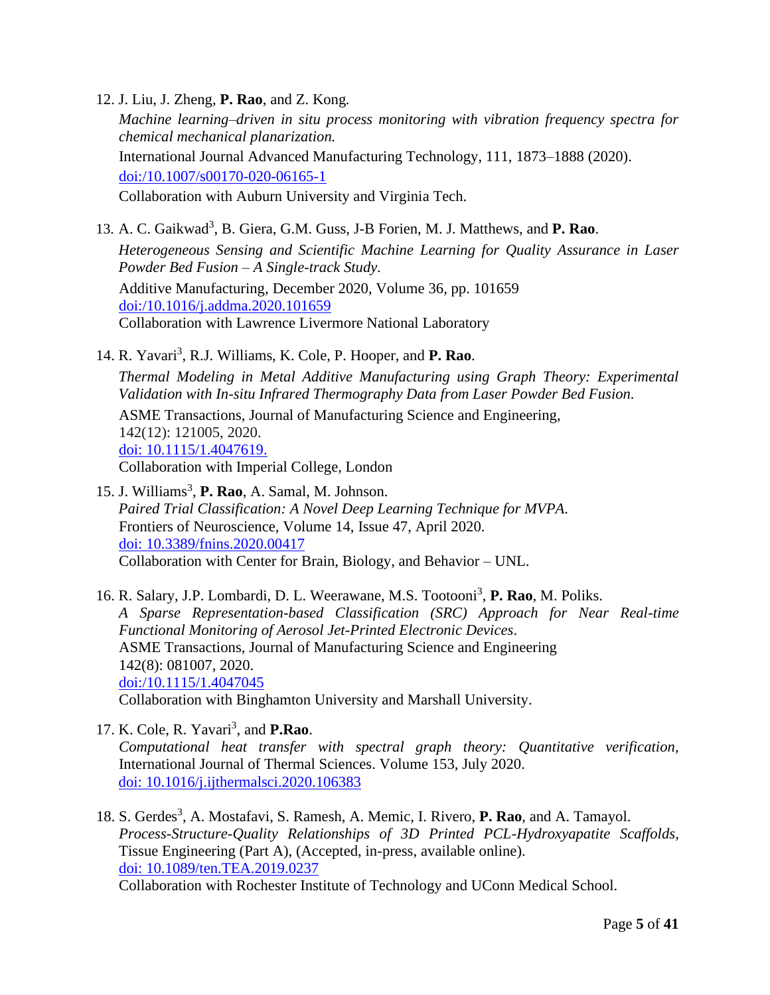12. J. Liu, J. Zheng, **P. Rao**, and Z. Kong*.*

*Machine learning–driven in situ process monitoring with vibration frequency spectra for chemical mechanical planarization.*  International Journal Advanced Manufacturing Technology, 111, 1873–1888 (2020). [doi:/10.1007/s00170-020-06165-1](https://doi.org/10.1007/s00170-020-06165-1) Collaboration with Auburn University and Virginia Tech.

13. A. C. Gaikwad<sup>3</sup>, B. Giera, G.M. Guss, J-B Forien, M. J. Matthews, and P. Rao. *Heterogeneous Sensing and Scientific Machine Learning for Quality Assurance in Laser Powder Bed Fusion – A Single-track Study.* Additive Manufacturing, December 2020, Volume 36, pp. 101659 [doi:/10.1016/j.addma.2020.101659](https://doi.org/10.1016/j.addma.2020.101659) Collaboration with Lawrence Livermore National Laboratory

14. R. Yavari<sup>3</sup>, R.J. Williams, K. Cole, P. Hooper, and P. Rao.

*Thermal Modeling in Metal Additive Manufacturing using Graph Theory: Experimental Validation with In-situ Infrared Thermography Data from Laser Powder Bed Fusion.*

ASME Transactions, Journal of Manufacturing Science and Engineering, 142(12): 121005, 2020. [doi: 10.1115/1.4047619.](https://asmedigitalcollection.asme.org/manufacturingscience/article-abstract/doi/10.1115/1.4047619/1084837/Thermal-Modeling-in-Metal-Additive-Manufacturing?redirectedFrom=fulltext) Collaboration with Imperial College, London

15. J. Williams<sup>3</sup>, P. Rao, A. Samal, M. Johnson. *Paired Trial Classification: A Novel Deep Learning Technique for MVPA.* Frontiers of Neuroscience, Volume 14, Issue 47, April 2020. [doi: 10.3389/fnins.2020.00417](https://www.frontiersin.org/articles/10.3389/fnins.2020.00417/full) Collaboration with Center for Brain, Biology, and Behavior – UNL.

16. R. Salary, J.P. Lombardi, D. L. Weerawane, M.S. Tootooni<sup>3</sup>, P. Rao, M. Poliks. *A Sparse Representation-based Classification (SRC) Approach for Near Real-time Functional Monitoring of Aerosol Jet-Printed Electronic Devices*. ASME Transactions, Journal of Manufacturing Science and Engineering 142(8): 081007, 2020. [doi:/10.1115/1.4047045](https://doi.org/10.1115/1.4047045) Collaboration with Binghamton University and Marshall University.

- 17. K. Cole, R. Yavari<sup>3</sup>, and **P.Rao**. *Computational heat transfer with spectral graph theory: Quantitative verification,*  International Journal of Thermal Sciences. Volume 153, July 2020. [doi: 10.1016/j.ijthermalsci.2020.106383](https://www.sciencedirect.com/science/article/pii/S1290072920300752?dgcid=coauthor)
- 18. S. Gerdes<sup>3</sup>, A. Mostafavi, S. Ramesh, A. Memic, I. Rivero, P. Rao, and A. Tamayol. *Process-Structure-Quality Relationships of 3D Printed PCL-Hydroxyapatite Scaffolds*, Tissue Engineering (Part A), (Accepted, in-press, available online). [doi: 10.1089/ten.TEA.2019.0237](https://www.liebertpub.com/doi/abs/10.1089/ten.TEA.2019.0237) Collaboration with Rochester Institute of Technology and UConn Medical School.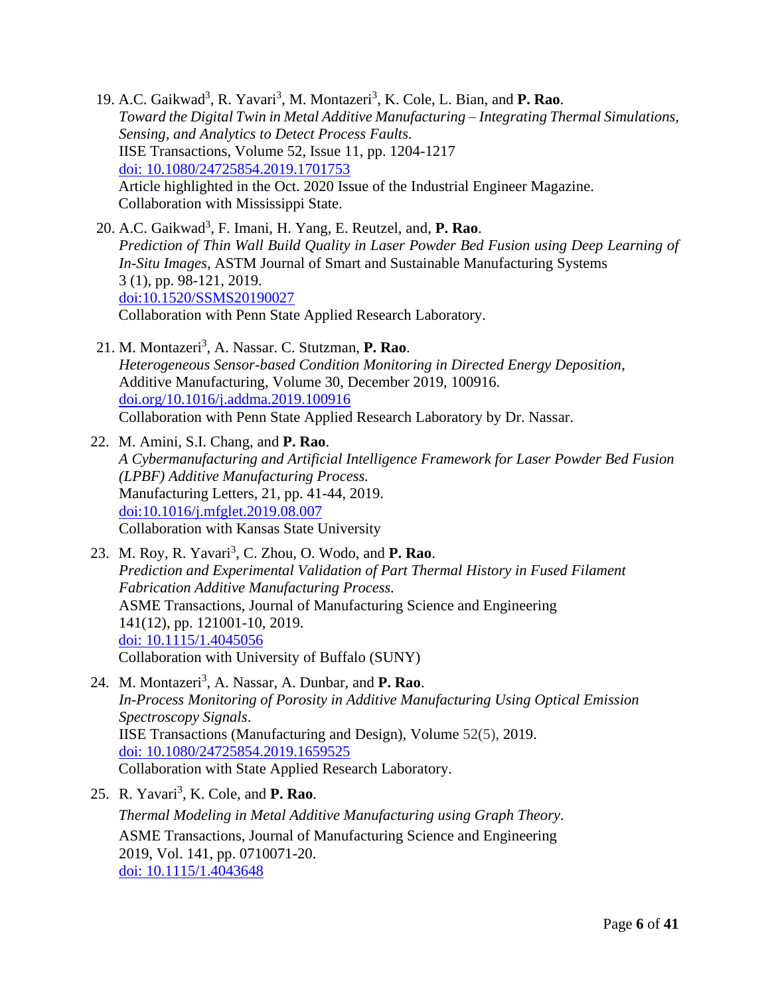19. A.C. Gaikwad<sup>3</sup>, R. Yavari<sup>3</sup>, M. Montazeri<sup>3</sup>, K. Cole, L. Bian, and P. Rao. *Toward the Digital Twin in Metal Additive Manufacturing – Integrating Thermal Simulations, Sensing, and Analytics to Detect Process Faults.* IISE Transactions, Volume 52, Issue 11, pp. 1204-1217 [doi: 10.1080/24725854.2019.1701753](https://www.tandfonline.com/doi/abs/10.1080/24725854.2019.1701753?journalCode=uiie21) Article highlighted in the Oct. 2020 Issue of the Industrial Engineer Magazine. Collaboration with Mississippi State.

- 20. A.C. Gaikwad<sup>3</sup> , F. Imani, H. Yang, E. Reutzel, and, **P. Rao**. *Prediction of Thin Wall Build Quality in Laser Powder Bed Fusion using Deep Learning of In-Situ Images,* ASTM Journal of Smart and Sustainable Manufacturing Systems 3 (1), pp. 98-121, 2019. [doi:10.1520/SSMS20190027](https://doi.org/10.1520/SSMS20190027) Collaboration with Penn State Applied Research Laboratory.
- 21. M. Montazeri<sup>3</sup> , A. Nassar. C. Stutzman, **P. Rao**. *Heterogeneous Sensor-based Condition Monitoring in Directed Energy Deposition*, Additive Manufacturing, Volume 30, December 2019, 100916. [doi.org/10.1016/j.addma.2019.100916](https://doi.org/10.1016/j.addma.2019.100916) Collaboration with Penn State Applied Research Laboratory by Dr. Nassar.
- 22. M. Amini, S.I. Chang, and **P. Rao**. *A Cybermanufacturing and Artificial Intelligence Framework for Laser Powder Bed Fusion (LPBF) Additive Manufacturing Process.* Manufacturing Letters, 21, pp. 41-44, 2019. doi[:10.1016/j.mfglet.2019.08.007](https://doi.org/10.1016/j.mfglet.2019.08.007) Collaboration with Kansas State University
- 23. M. Roy, R. Yavari<sup>3</sup>, C. Zhou, O. Wodo, and P. Rao. *Prediction and Experimental Validation of Part Thermal History in Fused Filament Fabrication Additive Manufacturing Process.* ASME Transactions, Journal of Manufacturing Science and Engineering 141(12), pp. 121001-10, 2019. [doi: 10.1115/1.4045056](https://doi.org/10.1115/1.4045056) Collaboration with University of Buffalo (SUNY)
- 24. M. Montazeri<sup>3</sup>, A. Nassar, A. Dunbar, and **P. Rao**. *In-Process Monitoring of Porosity in Additive Manufacturing Using Optical Emission Spectroscopy Signals*. IISE Transactions (Manufacturing and Design), Volume 52(5), 2019. [doi: 10.1080/24725854.2019.1659525](https://www.tandfonline.com/doi/full/10.1080/24725854.2019.1659525) Collaboration with State Applied Research Laboratory.
- 25. R. Yavari<sup>3</sup>, K. Cole, and **P. Rao**. *Thermal Modeling in Metal Additive Manufacturing using Graph Theory*. ASME Transactions, Journal of Manufacturing Science and Engineering 2019, Vol. 141, pp. 0710071-20. [doi: 10.1115/1.4043648](http://manufacturingscience.asmedigitalcollection.asme.org/article.aspx?articleid=2733087&resultClick=3)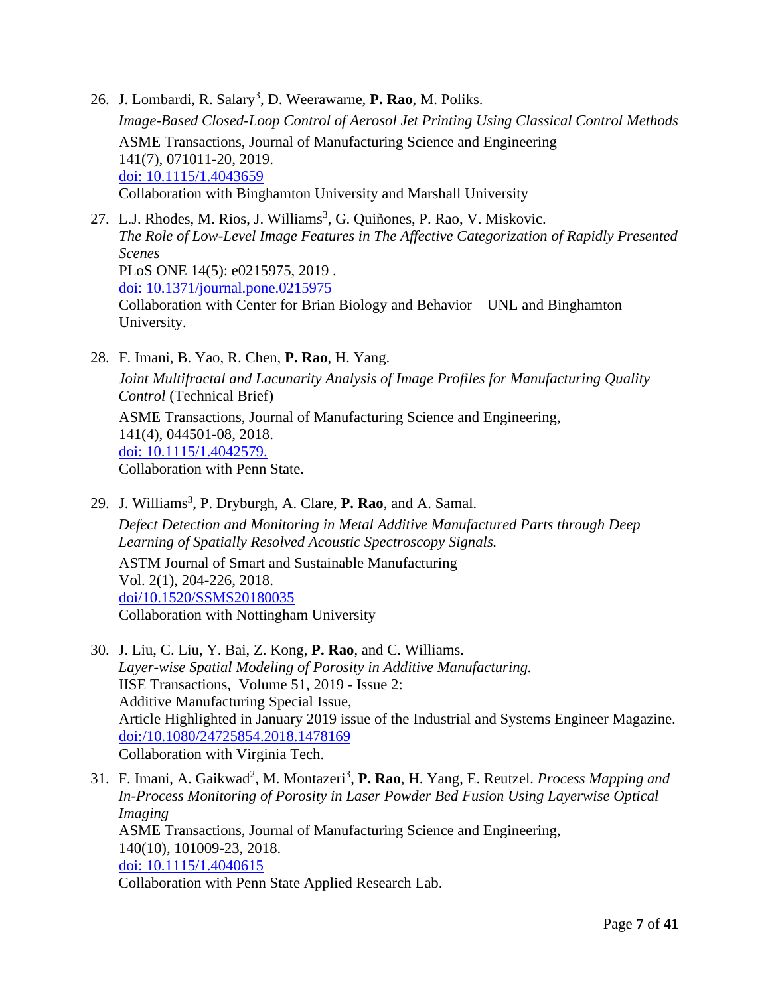- 26. J. Lombardi, R. Salary<sup>3</sup>, D. Weerawarne, P. Rao, M. Poliks. *Image-Based Closed-Loop Control of Aerosol Jet Printing Using Classical Control Methods* ASME Transactions, Journal of Manufacturing Science and Engineering 141(7), 071011-20, 2019. [doi: 10.1115/1.4043659](https://manufacturingscience.asmedigitalcollection.asme.org/article.aspx?articleid=2733088) Collaboration with Binghamton University and Marshall University
- 27. L.J. Rhodes, M. Rios, J. Williams<sup>3</sup>, G. Quiñones, P. Rao, V. Miskovic. *The Role of Low-Level Image Features in The Affective Categorization of Rapidly Presented Scenes* PLoS ONE 14(5): e0215975, 2019 . [doi: 10.1371/journal.pone.0215975](https://journals.plos.org/plosone/article?id=10.1371/journal.pone.0215975) Collaboration with Center for Brian Biology and Behavior – UNL and Binghamton University.
- 28. F. Imani, B. Yao, R. Chen, **P. Rao**, H. Yang. *Joint Multifractal and Lacunarity Analysis of Image Profiles for Manufacturing Quality Control* (Technical Brief)

ASME Transactions, Journal of Manufacturing Science and Engineering, 141(4), 044501-08, 2018. [doi: 10.1115/1.4042579.](http://manufacturingscience.asmedigitalcollection.asme.org/article.aspx?articleid=2724434&resultClick=3) Collaboration with Penn State.

- 29. J. Williams<sup>3</sup>, P. Dryburgh, A. Clare, P. Rao, and A. Samal. *Defect Detection and Monitoring in Metal Additive Manufactured Parts through Deep Learning of Spatially Resolved Acoustic Spectroscopy Signals.* ASTM Journal of Smart and Sustainable Manufacturing Vol. 2(1), 204-226, 2018. [doi/10.1520/SSMS20180035](https://www.astm.org/DIGITAL_LIBRARY/JOURNALS/SSMS/PAGES/SSMS20180035.htm) Collaboration with Nottingham University
- 30. J. Liu, C. Liu, Y. Bai, Z. Kong, **P. Rao**, and C. Williams. *Layer-wise Spatial Modeling of Porosity in Additive Manufacturing.* IISE Transactions, Volume 51, 2019 - Issue 2: Additive Manufacturing Special Issue, Article Highlighted in January 2019 issue of the Industrial and Systems Engineer Magazine. [doi:/10.1080/24725854.2018.1478169](https://www.tandfonline.com/doi/abs/10.1080/24725854.2018.1478169) Collaboration with Virginia Tech.
- 31. F. Imani, A. Gaikwad<sup>2</sup>, M. Montazeri<sup>3</sup>, P. Rao, H. Yang, E. Reutzel. *Process Mapping and In-Process Monitoring of Porosity in Laser Powder Bed Fusion Using Layerwise Optical Imaging* ASME Transactions, Journal of Manufacturing Science and Engineering, 140(10), 101009-23, 2018. [doi: 10.1115/1.4040615](http://manufacturingscience.asmedigitalcollection.asme.org/article.aspx?articleid=2686568) Collaboration with Penn State Applied Research Lab.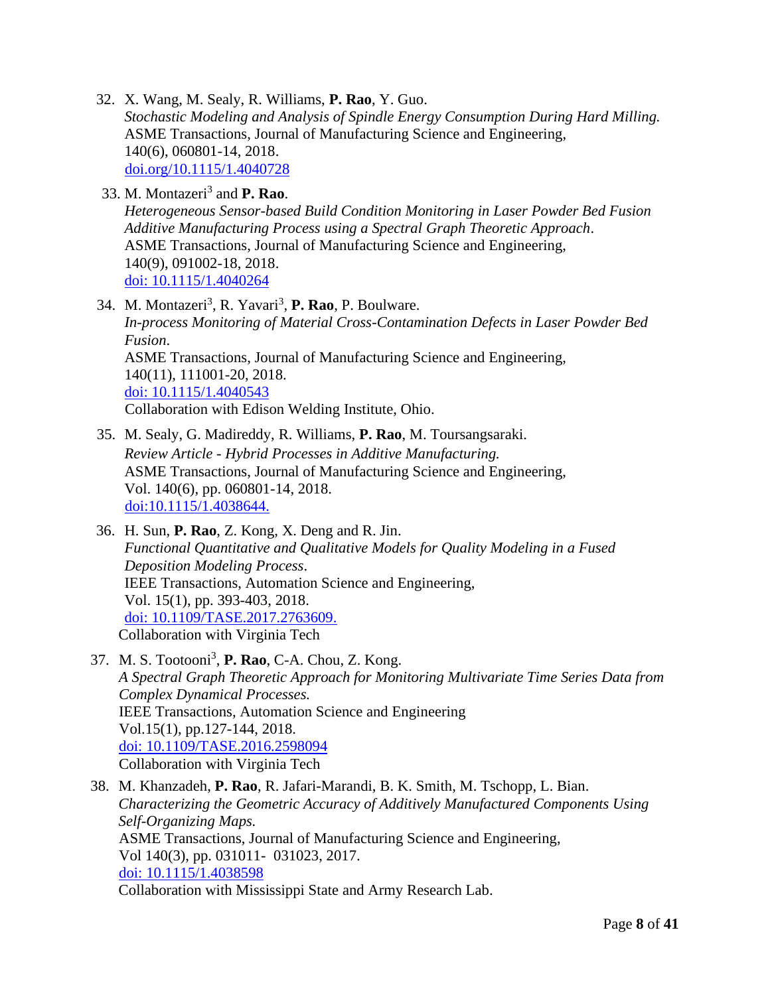- 32. X. Wang, M. Sealy, R. Williams, **P. Rao**, Y. Guo. *Stochastic Modeling and Analysis of Spindle Energy Consumption During Hard Milling.* ASME Transactions, Journal of Manufacturing Science and Engineering, 140(6), 060801-14, 2018. [doi.org/10.1115/1.4040728](file:///C:/Users/praha/Dropbox%20(Personal)/CV_monthly%20updates/External%20CV/doi.org/10.1115/1.4040728)
- 33. M. Montazeri<sup>3</sup> and **P. Rao**. *Heterogeneous Sensor-based Build Condition Monitoring in Laser Powder Bed Fusion Additive Manufacturing Process using a Spectral Graph Theoretic Approach*. ASME Transactions, Journal of Manufacturing Science and Engineering, 140(9), 091002-18, 2018. [doi: 10.1115/1.4040264](http://manufacturingscience.asmedigitalcollection.asme.org/article.aspx?articleid=2681693)
- 34. M. Montazeri<sup>3</sup>, R. Yavari<sup>3</sup>, P. Rao, P. Boulware. *In-process Monitoring of Material Cross-Contamination Defects in Laser Powder Bed Fusion*. ASME Transactions, Journal of Manufacturing Science and Engineering, 140(11), 111001-20, 2018. [doi: 10.1115/1.4040543](http://manufacturingscience.asmedigitalcollection.asme.org/article.aspx?articleid=2685298) Collaboration with Edison Welding Institute, Ohio.
- 35. M. Sealy, G. Madireddy, R. Williams, **P. Rao**, M. Toursangsaraki. *Review Article - Hybrid Processes in Additive Manufacturing.* ASME Transactions, Journal of Manufacturing Science and Engineering, Vol. 140(6), pp. 060801-14, 2018. [doi:10.1115/1.4038644.](http://manufacturingscience.asmedigitalcollection.asme.org/article.aspx?articleid=2665941&resultClick=3)
- 36. H. Sun, **P. Rao**, Z. Kong, X. Deng and R. Jin. *Functional Quantitative and Qualitative Models for Quality Modeling in a Fused Deposition Modeling Process*. IEEE Transactions, Automation Science and Engineering, Vol. 15(1), pp. 393-403, 2018. [doi: 10.1109/TASE.2017.2763609.](https://ieeexplore.ieee.org/abstract/document/8103913) Collaboration with Virginia Tech
- 37. M. S. Tootooni<sup>3</sup>, **P. Rao**, C-A. Chou, Z. Kong. *A Spectral Graph Theoretic Approach for Monitoring Multivariate Time Series Data from Complex Dynamical Processes.*  IEEE Transactions, Automation Science and Engineering Vol.15(1), pp.127-144, 2018. [doi: 10.1109/TASE.2016.2598094](https://ieeexplore.ieee.org/abstract/document/7556960) Collaboration with Virginia Tech
- 38. M. Khanzadeh, **P. Rao**, R. Jafari-Marandi, B. K. Smith, M. Tschopp, L. Bian. *Characterizing the Geometric Accuracy of Additively Manufactured Components Using Self-Organizing Maps.*  ASME Transactions, Journal of Manufacturing Science and Engineering, Vol 140(3), pp. 031011- 031023, 2017. [doi: 10.1115/1.4038598](http://manufacturingscience.asmedigitalcollection.asme.org/article.aspx?articleid=2665162) Collaboration with Mississippi State and Army Research Lab.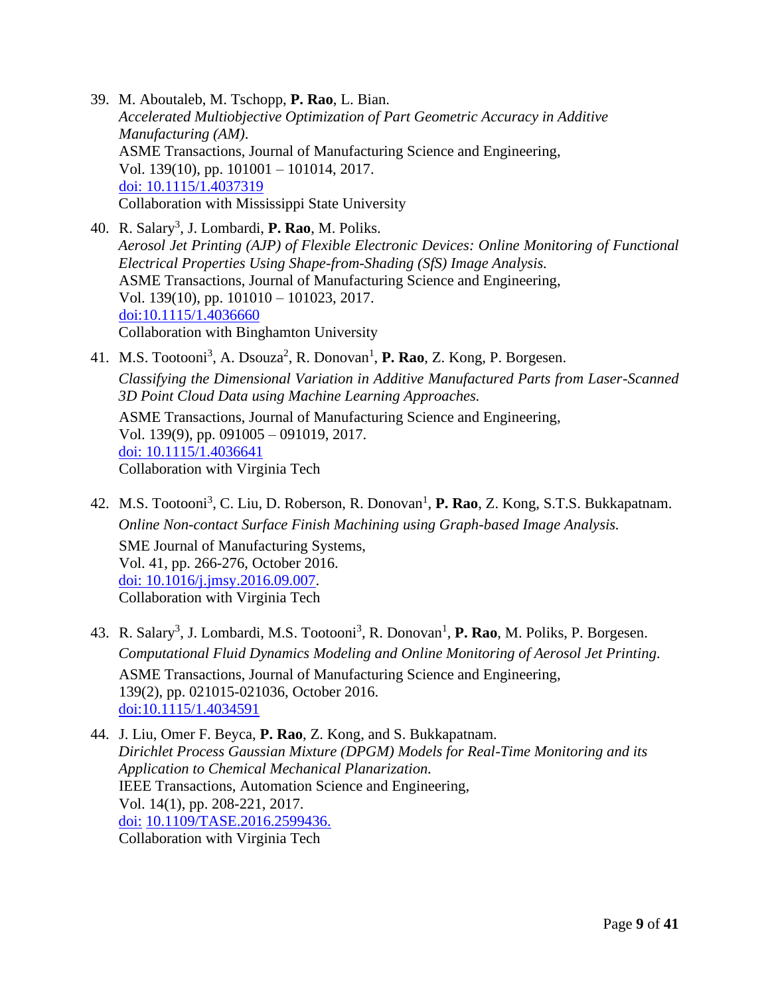- 39. M. Aboutaleb, M. Tschopp, **P. Rao**, L. Bian. *Accelerated Multiobjective Optimization of Part Geometric Accuracy in Additive Manufacturing (AM)*. ASME Transactions, Journal of Manufacturing Science and Engineering, Vol. 139(10), pp. 101001 – 101014, 2017. [doi: 10.1115/1.4037319](http://manufacturingscience.asmedigitalcollection.asme.org/article.aspx?articleid=2645865) Collaboration with Mississippi State University
- 40. R. Salary<sup>3</sup>, J. Lombardi, **P. Rao**, M. Poliks. *Aerosol Jet Printing (AJP) of Flexible Electronic Devices: Online Monitoring of Functional Electrical Properties Using Shape-from-Shading (SfS) Image Analysis.*  ASME Transactions, Journal of Manufacturing Science and Engineering, Vol. 139(10), pp. 101010 – 101023, 2017. [doi:10.1115/1.4036660](http://manufacturingscience.asmedigitalcollection.asme.org/article.aspx?articleid=2626354) Collaboration with Binghamton University
- 41. M.S. Tootooni<sup>3</sup>, A. Dsouza<sup>2</sup>, R. Donovan<sup>1</sup>, **P. Rao**, Z. Kong, P. Borgesen.

*Classifying the Dimensional Variation in Additive Manufactured Parts from Laser-Scanned 3D Point Cloud Data using Machine Learning Approaches.* 

ASME Transactions, Journal of Manufacturing Science and Engineering, Vol. 139(9), pp. 091005 – 091019, 2017. [doi: 10.1115/1.4036641](http://manufacturingscience.asmedigitalcollection.asme.org/article.aspx?articleid=2626353) Collaboration with Virginia Tech

- 42. M.S. Tootooni<sup>3</sup>, C. Liu, D. Roberson, R. Donovan<sup>1</sup>, P. Rao, Z. Kong, S.T.S. Bukkapatnam. *Online Non-contact Surface Finish Machining using Graph-based Image Analysis.*  SME Journal of Manufacturing Systems, Vol. 41, pp. 266-276, October 2016. [doi: 10.1016/j.jmsy.2016.09.007.](https://www.sciencedirect.com/science/article/pii/S0278612516300644) Collaboration with Virginia Tech
- 43. R. Salary<sup>3</sup>, J. Lombardi, M.S. Tootooni<sup>3</sup>, R. Donovan<sup>1</sup>, P. Rao, M. Poliks, P. Borgesen. *Computational Fluid Dynamics Modeling and Online Monitoring of Aerosol Jet Printing.*  ASME Transactions, Journal of Manufacturing Science and Engineering, 139(2), pp. 021015-021036, October 2016. [doi:10.1115/1.4034591](http://manufacturingscience.asmedigitalcollection.asme.org/article.aspx?articleid=2551757)

44. J. Liu, Omer F. Beyca, **P. Rao**, Z. Kong, and S. Bukkapatnam. *Dirichlet Process Gaussian Mixture (DPGM) Models for Real-Time Monitoring and its Application to Chemical Mechanical Planarization.*  IEEE Transactions, Automation Science and Engineering, Vol. 14(1), pp. 208-221, 2017. doi: [10.1109/TASE.2016.2599436.](https://doi.org/10.1109/TASE.2016.2599436) Collaboration with Virginia Tech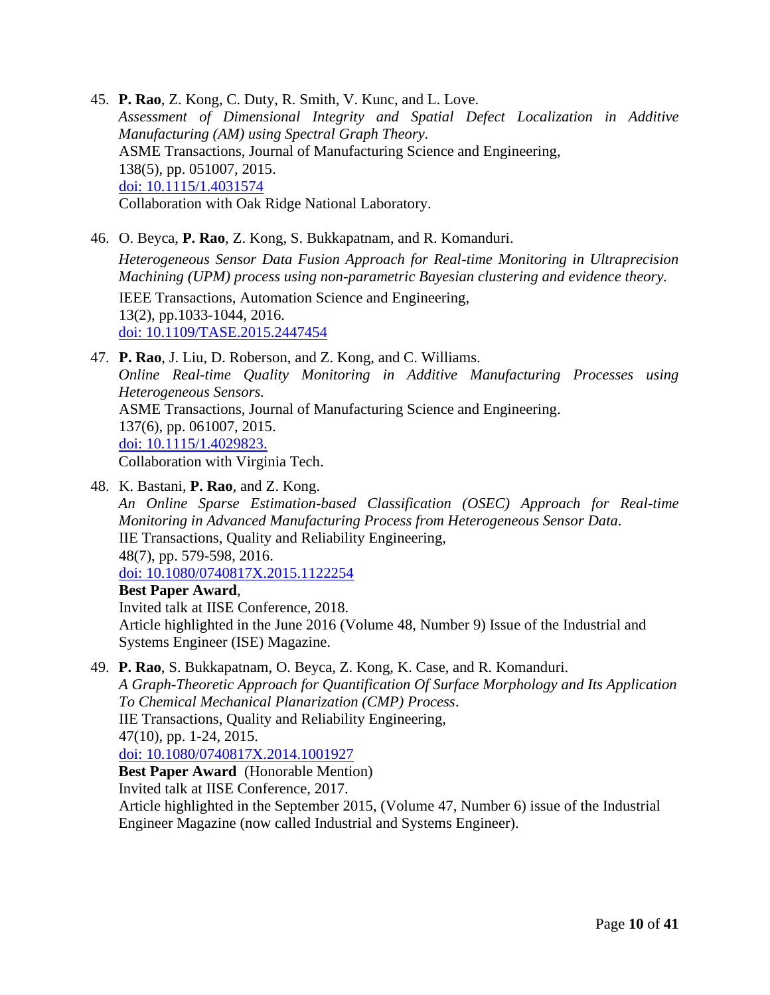45. **P. Rao**, Z. Kong, C. Duty, R. Smith, V. Kunc, and L. Love. *Assessment of Dimensional Integrity and Spatial Defect Localization in Additive Manufacturing (AM) using Spectral Graph Theory.*  ASME Transactions, Journal of Manufacturing Science and Engineering, 138(5), pp. 051007, 2015. [doi: 10.1115/1.4031574](http://manufacturingscience.asmedigitalcollection.asme.org/article.aspx?articleid=2441875) Collaboration with Oak Ridge National Laboratory.

- 46. O. Beyca, **P. Rao**, Z. Kong, S. Bukkapatnam, and R. Komanduri. *Heterogeneous Sensor Data Fusion Approach for Real-time Monitoring in Ultraprecision Machining (UPM) process using non-parametric Bayesian clustering and evidence theory.*  IEEE Transactions, Automation Science and Engineering, 13(2), pp.1033-1044, 2016. doi: [10.1109/TASE.2015.2447454](http://ieeexplore.ieee.org/xpl/login.jsp?reload=true&tp=&arnumber=7165687&url=http%3A%2F%2Fieeexplore.ieee.org%2Fxpls%2Fabs_all.jsp%3Farnumber%3D7165687)
- 47. **P. Rao**, J. Liu, D. Roberson, and Z. Kong, and C. Williams. *Online Real-time Quality Monitoring in Additive Manufacturing Processes using Heterogeneous Sensors.*  ASME Transactions, Journal of Manufacturing Science and Engineering. 137(6), pp. 061007, 2015. [doi: 10.1115/1.4029823.](http://manufacturingscience.asmedigitalcollection.asme.org/article.aspx?articleid=2469630&resultClick=1) Collaboration with Virginia Tech.
- 48. K. Bastani, **P. Rao**, and Z. Kong.

*An Online Sparse Estimation-based Classification (OSEC) Approach for Real-time Monitoring in Advanced Manufacturing Process from Heterogeneous Sensor Data.*  IIE Transactions, Quality and Reliability Engineering, 48(7), pp. 579-598, 2016. [doi: 10.1080/0740817X.2015.1122254](http://www.tandfonline.com/doi/abs/10.1080/0740817X.2015.1122254)

# **Best Paper Award**,

Invited talk at IISE Conference, 2018. Article highlighted in the June 2016 (Volume 48, Number 9) Issue of the Industrial and Systems Engineer (ISE) Magazine.

49. **P. Rao**, S. Bukkapatnam, O. Beyca, Z. Kong, K. Case, and R. Komanduri.

*A Graph-Theoretic Approach for Quantification Of Surface Morphology and Its Application To Chemical Mechanical Planarization (CMP) Process*. IIE Transactions, Quality and Reliability Engineering, 47(10), pp. 1-24, 2015. [doi: 10.1080/0740817X.2014.1001927](http://www.tandfonline.com/doi/abs/10.1080/0740817X.2014.1001927#.VPOJGy60I-B)

**Best Paper Award** (Honorable Mention)

Invited talk at IISE Conference, 2017.

Article highlighted in the September 2015, (Volume 47, Number 6) issue of the Industrial Engineer Magazine (now called Industrial and Systems Engineer).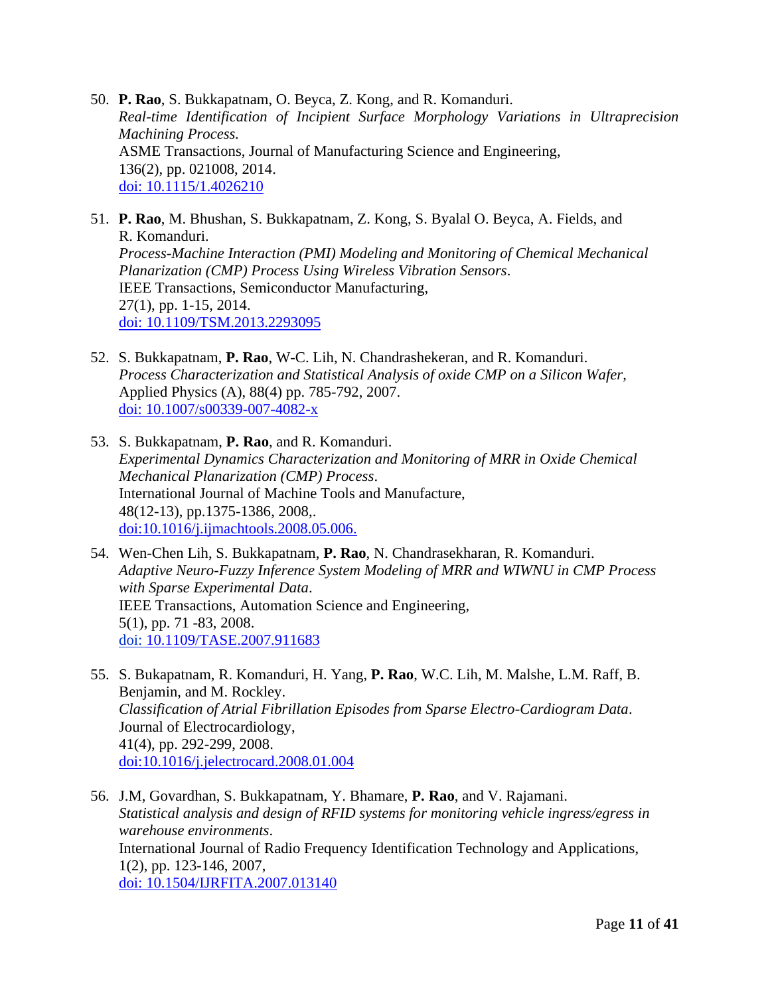- 50. **P. Rao**, S. Bukkapatnam, O. Beyca, Z. Kong, and R. Komanduri. *Real-time Identification of Incipient Surface Morphology Variations in Ultraprecision Machining Process.*  ASME Transactions, Journal of Manufacturing Science and Engineering, 136(2), pp. 021008, 2014. [doi: 10.1115/1.4026210](http://manufacturingscience.asmedigitalcollection.asme.org/article.aspx?articleid=1790333)
- 51. **P. Rao**, M. Bhushan, S. Bukkapatnam, Z. Kong, S. Byalal O. Beyca, A. Fields, and R. Komanduri. *Process-Machine Interaction (PMI) Modeling and Monitoring of Chemical Mechanical Planarization (CMP) Process Using Wireless Vibration Sensors*. IEEE Transactions, Semiconductor Manufacturing, 27(1), pp. 1-15, 2014. doi: [10.1109/TSM.2013.2293095](http://ieeexplore.ieee.org/xpl/articleDetails.jsp?arnumber=6675842)
- 52. S. Bukkapatnam, **P. Rao**, W-C. Lih, N. Chandrashekeran, and R. Komanduri. *Process Characterization and Statistical Analysis of oxide CMP on a Silicon Wafer,*  Applied Physics (A), 88(4) pp. 785-792, 2007. [doi: 10.1007/s00339-007-4082-x](http://link.springer.com/article/10.1007/s00339-007-4082-x)
- 53. S. Bukkapatnam, **P. Rao**, and R. Komanduri. *Experimental Dynamics Characterization and Monitoring of MRR in Oxide Chemical Mechanical Planarization (CMP) Process*. International Journal of Machine Tools and Manufacture, 48(12-13), pp.1375-1386, 2008,. [doi:10.1016/j.ijmachtools.2008.05.006.](http://dx.doi.org/10.1016/j.ijmachtools.2008.05.006)
- 54. Wen-Chen Lih, S. Bukkapatnam, **P. Rao**, N. Chandrasekharan, R. Komanduri. *Adaptive Neuro-Fuzzy Inference System Modeling of MRR and WIWNU in CMP Process with Sparse Experimental Data*. IEEE Transactions, Automation Science and Engineering, 5(1), pp. 71 -83, 2008. doi: [10.1109/TASE.2007.911683](http://dx.doi.org/10.1109/TASE.2007.911683)
- 55. S. Bukapatnam, R. Komanduri, H. Yang, **P. Rao**, W.C. Lih, M. Malshe, L.M. Raff, B. Benjamin, and M. Rockley. *Classification of Atrial Fibrillation Episodes from Sparse Electro-Cardiogram Data*. Journal of Electrocardiology, 41(4), pp. 292-299, 2008. [doi:10.1016/j.jelectrocard.2008.01.004](http://dx.doi.org/10.1016/j.jelectrocard.2008.01.004)
- 56. J.M, Govardhan, S. Bukkapatnam, Y. Bhamare, **P. Rao**, and V. Rajamani. *Statistical analysis and design of RFID systems for monitoring vehicle ingress/egress in warehouse environments*. International Journal of Radio Frequency Identification Technology and Applications, 1(2), pp. 123-146, 2007, [doi: 10.1504/IJRFITA.2007.013140](http://www.inderscienceonline.com/doi/abs/10.1504/IJRFITA.2007.013140)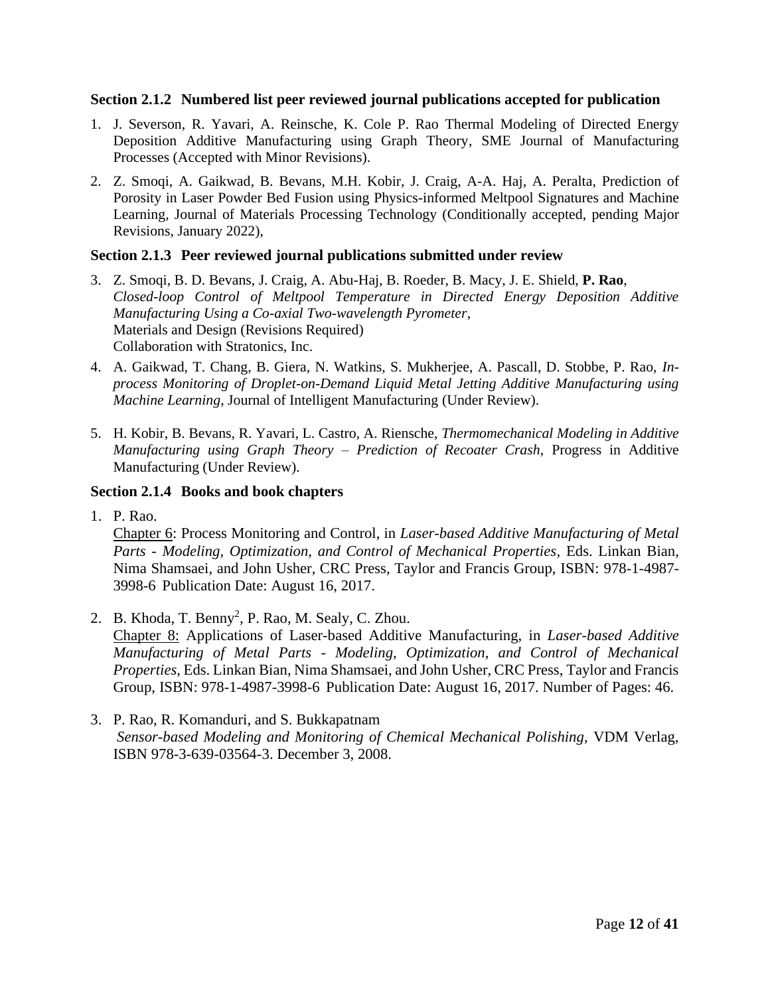#### **Section 2.1.2 Numbered list peer reviewed journal publications accepted for publication**

- 1. J. Severson, R. Yavari, A. Reinsche, K. Cole P. Rao Thermal Modeling of Directed Energy Deposition Additive Manufacturing using Graph Theory, SME Journal of Manufacturing Processes (Accepted with Minor Revisions).
- 2. Z. Smoqi, A. Gaikwad, B. Bevans, M.H. Kobir, J. Craig, A-A. Haj, A. Peralta, Prediction of Porosity in Laser Powder Bed Fusion using Physics-informed Meltpool Signatures and Machine Learning, Journal of Materials Processing Technology (Conditionally accepted, pending Major Revisions, January 2022),

# **Section 2.1.3 Peer reviewed journal publications submitted under review**

- 3. Z. Smoqi, B. D. Bevans, J. Craig, A. Abu-Haj, B. Roeder, B. Macy, J. E. Shield, **P. Rao**, *Closed-loop Control of Meltpool Temperature in Directed Energy Deposition Additive Manufacturing Using a Co-axial Two-wavelength Pyrometer*, Materials and Design (Revisions Required) Collaboration with Stratonics, Inc.
- 4. A. Gaikwad, T. Chang, B. Giera, N. Watkins, S. Mukherjee, A. Pascall, D. Stobbe, P. Rao, *Inprocess Monitoring of Droplet-on-Demand Liquid Metal Jetting Additive Manufacturing using Machine Learning*, Journal of Intelligent Manufacturing (Under Review).
- 5. H. Kobir, B. Bevans, R. Yavari, L. Castro, A. Riensche, *Thermomechanical Modeling in Additive Manufacturing using Graph Theory – Prediction of Recoater Crash*, Progress in Additive Manufacturing (Under Review).

### **Section 2.1.4 Books and book chapters**

1. P. Rao.

Chapter 6: Process Monitoring and Control, in *Laser-based Additive Manufacturing of Metal Parts - Modeling, Optimization, and Control of Mechanical Properties*, Eds. Linkan Bian, Nima Shamsaei, and John Usher, CRC Press, Taylor and Francis Group, ISBN: 978-1-4987- 3998-6 Publication Date: August 16, 2017.

- 2. B. Khoda, T. Benny<sup>2</sup>, P. Rao, M. Sealy, C. Zhou. Chapter 8: Applications of Laser-based Additive Manufacturing, in *Laser-based Additive Manufacturing of Metal Parts - Modeling, Optimization, and Control of Mechanical Properties*, Eds. Linkan Bian, Nima Shamsaei, and John Usher, CRC Press, Taylor and Francis Group, ISBN: 978-1-4987-3998-6 Publication Date: August 16, 2017. Number of Pages: 46.
- 3. P. Rao, R. Komanduri, and S. Bukkapatnam *Sensor-based Modeling and Monitoring of Chemical Mechanical Polishing*, VDM Verlag, ISBN 978-3-639-03564-3. December 3, 2008.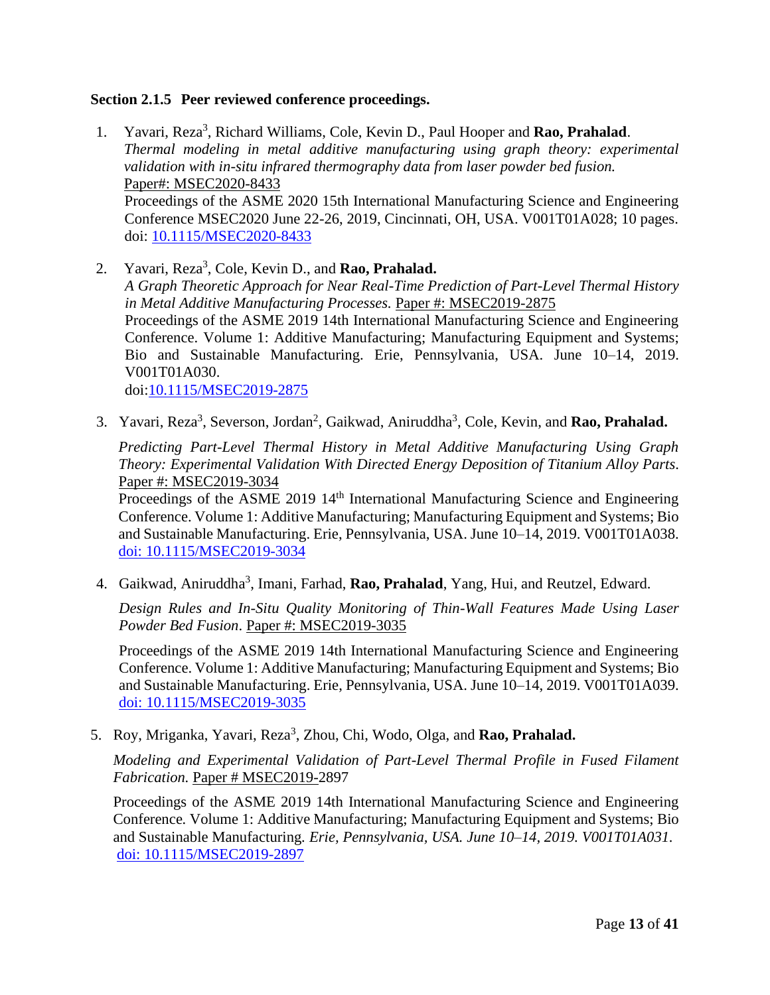# **Section 2.1.5 Peer reviewed conference proceedings.**

- 1. Yavari, Reza<sup>3</sup>, Richard Williams, Cole, Kevin D., Paul Hooper and **Rao, Prahalad**. *Thermal modeling in metal additive manufacturing using graph theory: experimental validation with in-situ infrared thermography data from laser powder bed fusion.* Paper#: MSEC2020-8433 Proceedings of the ASME 2020 15th International Manufacturing Science and Engineering Conference MSEC2020 June 22-26, 2019, Cincinnati, OH, USA. V001T01A028; 10 pages. doi: [10.1115/MSEC2020-8433](https://doi.org/10.1115/MSEC2020-8433)
- 2. Yavari, Reza<sup>3</sup>, Cole, Kevin D., and **Rao, Prahalad.** *A Graph Theoretic Approach for Near Real-Time Prediction of Part-Level Thermal History in Metal Additive Manufacturing Processes.* Paper #: MSEC2019-2875 Proceedings of the ASME 2019 14th International Manufacturing Science and Engineering Conference. Volume 1: Additive Manufacturing; Manufacturing Equipment and Systems; Bio and Sustainable Manufacturing. Erie, Pennsylvania, USA. June 10–14, 2019. V001T01A030. doi[:10.1115/MSEC2019-2875](https://asmedigitalcollection.asme.org/MSEC/proceedings-abstract/MSEC2019/58745/V001T01A030/1070714)
- 3. Yavari, Reza<sup>3</sup>, Severson, Jordan<sup>2</sup>, Gaikwad, Aniruddha<sup>3</sup>, Cole, Kevin, and **Rao, Prahalad.**

*Predicting Part-Level Thermal History in Metal Additive Manufacturing Using Graph Theory: Experimental Validation With Directed Energy Deposition of Titanium Alloy Parts*. Paper #: MSEC2019-3034

Proceedings of the ASME 2019 14<sup>th</sup> International Manufacturing Science and Engineering Conference. Volume 1: Additive Manufacturing; Manufacturing Equipment and Systems; Bio and Sustainable Manufacturing. Erie, Pennsylvania, USA. June 10–14, 2019. V001T01A038. [doi: 10.1115/MSEC2019-3034](https://proceedings.asmedigitalcollection.asme.org/MSEC/proceedings-abstract/MSEC2019/58745/V001T01A038/1070702)

4. Gaikwad, Aniruddha<sup>3</sup>, Imani, Farhad, **Rao, Prahalad**, Yang, Hui, and Reutzel, Edward.

*Design Rules and In-Situ Quality Monitoring of Thin-Wall Features Made Using Laser Powder Bed Fusion*. Paper #: MSEC2019-3035

Proceedings of the ASME 2019 14th International Manufacturing Science and Engineering Conference. Volume 1: Additive Manufacturing; Manufacturing Equipment and Systems; Bio and Sustainable Manufacturing. Erie, Pennsylvania, USA. June 10–14, 2019. V001T01A039. [doi: 10.1115/MSEC2019-3035](https://doi.org/10.1115/MSEC2019-3035)

5. Roy, Mriganka, Yavari, Reza<sup>3</sup>, Zhou, Chi, Wodo, Olga, and Rao, Prahalad.

*Modeling and Experimental Validation of Part-Level Thermal Profile in Fused Filament Fabrication.* Paper # MSEC2019-2897

Proceedings of the ASME 2019 14th International Manufacturing Science and Engineering Conference*.* Volume 1: Additive Manufacturing; Manufacturing Equipment and Systems; Bio and Sustainable Manufacturing*. Erie, Pennsylvania, USA. June 10–14, 2019. V001T01A031.*  [doi: 10.1115/MSEC2019-2897](https://doi.org/10.1115/MSEC2019-2897)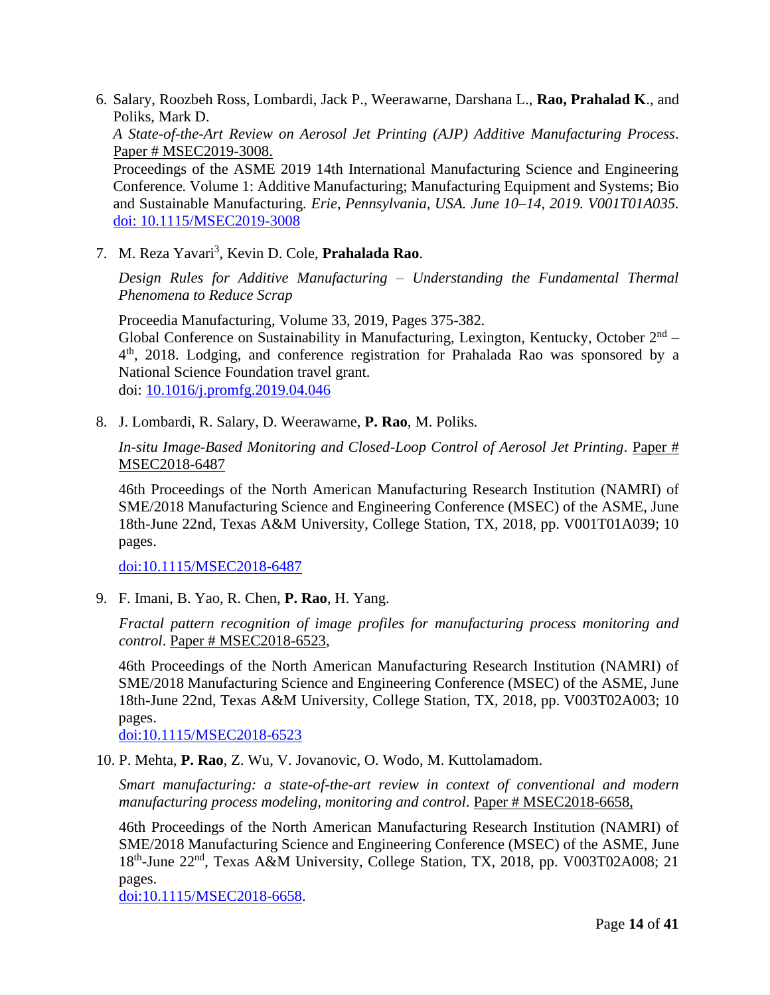6. Salary, Roozbeh Ross, Lombardi, Jack P., Weerawarne, Darshana L., **Rao, Prahalad K**., and Poliks, Mark D.

*A State-of-the-Art Review on Aerosol Jet Printing (AJP) Additive Manufacturing Process*. Paper # MSEC2019-3008.

Proceedings of the ASME 2019 14th International Manufacturing Science and Engineering Conference*.* Volume 1: Additive Manufacturing; Manufacturing Equipment and Systems; Bio and Sustainable Manufacturing*. Erie, Pennsylvania, USA. June 10–14, 2019. V001T01A035.*  [doi: 10.1115/MSEC2019-3008](https://doi.org/10.1115/MSEC2019-3008)

7. M. Reza Yavari<sup>3</sup> , Kevin D. Cole, **Prahalada Rao**.

*Design Rules for Additive Manufacturing – Understanding the Fundamental Thermal Phenomena to Reduce Scrap*

Proceedia Manufacturing, Volume 33, 2019, Pages 375-382.

Global Conference on Sustainability in Manufacturing, Lexington, Kentucky, October  $2<sup>nd</sup>$  – 4<sup>th</sup>, 2018. Lodging, and conference registration for Prahalada Rao was sponsored by a National Science Foundation travel grant. doi: [10.1016/j.promfg.2019.04.046](https://doi.org/10.1016/j.promfg.2019.04.046)

8. J. Lombardi, R. Salary, D. Weerawarne, **P. Rao**, M. Poliks*.*

*In-situ Image-Based Monitoring and Closed-Loop Control of Aerosol Jet Printing*. Paper # MSEC2018-6487

46th Proceedings of the North American Manufacturing Research Institution (NAMRI) of SME/2018 Manufacturing Science and Engineering Conference (MSEC) of the ASME, June 18th-June 22nd, Texas A&M University, College Station, TX, 2018, pp. V001T01A039; 10 pages.

[doi:10.1115/MSEC2018-6487](http://proceedings.asmedigitalcollection.asme.org/proceeding.aspx?articleid=2704215)

9. F. Imani, B. Yao, R. Chen, **P. Rao**, H. Yang.

*Fractal pattern recognition of image profiles for manufacturing process monitoring and control*. Paper # MSEC2018-6523,

46th Proceedings of the North American Manufacturing Research Institution (NAMRI) of SME/2018 Manufacturing Science and Engineering Conference (MSEC) of the ASME, June 18th-June 22nd, Texas A&M University, College Station, TX, 2018, pp. V003T02A003; 10 pages.

[doi:10.1115/MSEC2018-6523](https://proceedings.asmedigitalcollection.asme.org/proceeding.aspx?articleid=2704299)

10. P. Mehta, **P. Rao**, Z. Wu, V. Jovanovic, O. Wodo, M. Kuttolamadom.

*Smart manufacturing: a state-of-the-art review in context of conventional and modern manufacturing process modeling, monitoring and control*. Paper # MSEC2018-6658,

46th Proceedings of the North American Manufacturing Research Institution (NAMRI) of SME/2018 Manufacturing Science and Engineering Conference (MSEC) of the ASME, June 18<sup>th</sup>-June 22<sup>nd</sup>, Texas A&M University, College Station, TX, 2018, pp. V003T02A008; 21 pages.

[doi:10.1115/MSEC2018-6658.](http://proceedings.asmedigitalcollection.asme.org/proceeding.aspx?articleid=2704304&resultClick=3)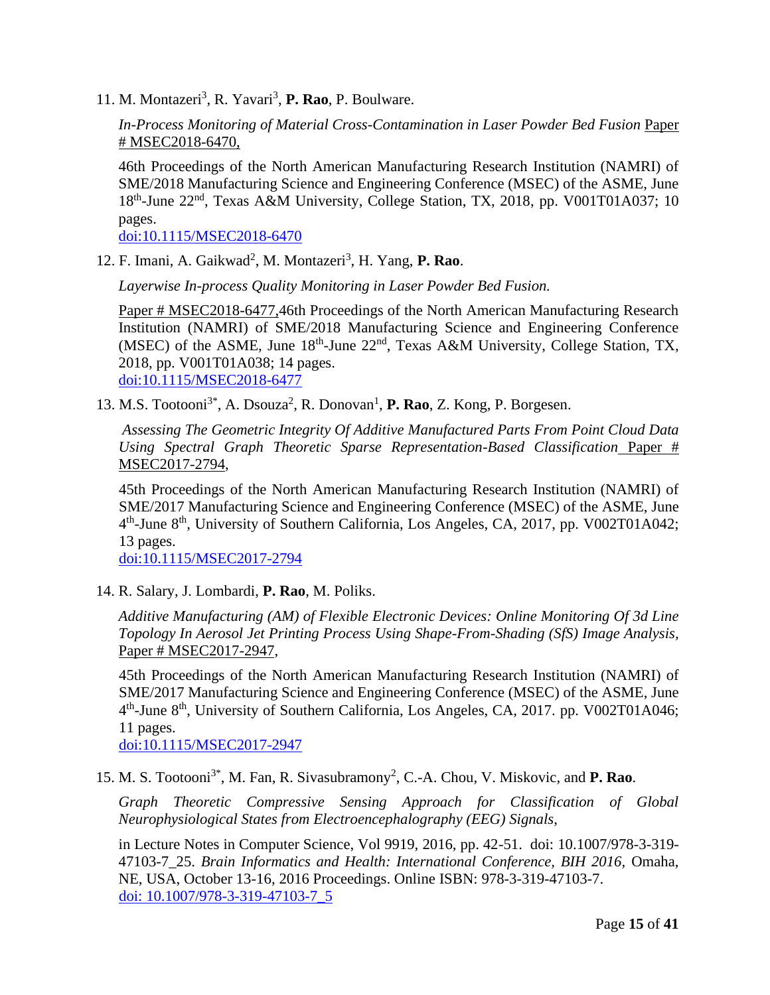11. M. Montazeri<sup>3</sup>, R. Yavari<sup>3</sup>, P. Rao, P. Boulware.

*In-Process Monitoring of Material Cross-Contamination in Laser Powder Bed Fusion* Paper # MSEC2018-6470,

46th Proceedings of the North American Manufacturing Research Institution (NAMRI) of SME/2018 Manufacturing Science and Engineering Conference (MSEC) of the ASME, June 18<sup>th</sup>-June 22<sup>nd</sup>, Texas A&M University, College Station, TX, 2018, pp. V001T01A037; 10 pages.

[doi:10.1115/MSEC2018-6470](http://proceedings.asmedigitalcollection.asme.org/proceeding.aspx?articleid=2704204)

12. F. Imani, A. Gaikwad<sup>2</sup>, M. Montazeri<sup>3</sup>, H. Yang, P. Rao.

*Layerwise In-process Quality Monitoring in Laser Powder Bed Fusion.* 

Paper # MSEC2018-6477,46th Proceedings of the North American Manufacturing Research Institution (NAMRI) of SME/2018 Manufacturing Science and Engineering Conference (MSEC) of the ASME, June  $18<sup>th</sup>$ -June  $22<sup>nd</sup>$ , Texas A&M University, College Station, TX, 2018, pp. V001T01A038; 14 pages. [doi:10.1115/MSEC2018-6477](http://proceedings.asmedigitalcollection.asme.org/proceeding.aspx?articleid=2704205&resultClick=3)

13. M.S. Tootooni<sup>3\*</sup>, A. Dsouza<sup>2</sup>, R. Donovan<sup>1</sup>, **P. Rao**, Z. Kong, P. Borgesen.

*Assessing The Geometric Integrity Of Additive Manufactured Parts From Point Cloud Data Using Spectral Graph Theoretic Sparse Representation-Based Classification* Paper # MSEC2017-2794,

45th Proceedings of the North American Manufacturing Research Institution (NAMRI) of SME/2017 Manufacturing Science and Engineering Conference (MSEC) of the ASME, June 4<sup>th</sup>-June 8<sup>th</sup>, University of Southern California, Los Angeles, CA, 2017, pp. V002T01A042; 13 pages.

[doi:10.1115/MSEC2017-2794](http://proceedings.asmedigitalcollection.asme.org/proceeding.aspx?articleid=2646240)

14. R. Salary, J. Lombardi, **P. Rao**, M. Poliks.

*Additive Manufacturing (AM) of Flexible Electronic Devices: Online Monitoring Of 3d Line Topology In Aerosol Jet Printing Process Using Shape-From-Shading (SfS) Image Analysis,*  Paper # MSEC2017-2947,

45th Proceedings of the North American Manufacturing Research Institution (NAMRI) of SME/2017 Manufacturing Science and Engineering Conference (MSEC) of the ASME, June 4<sup>th</sup>-June 8<sup>th</sup>, University of Southern California, Los Angeles, CA, 2017. pp. V002T01A046; 11 pages.

[doi:10.1115/MSEC2017-2947](http://proceedings.asmedigitalcollection.asme.org/proceeding.aspx?articleid=2646244)

15. M. S. Tootooni<sup>3\*</sup>, M. Fan, R. Sivasubramony<sup>2</sup>, C.-A. Chou, V. Miskovic, and **P. Rao**.

*Graph Theoretic Compressive Sensing Approach for Classification of Global Neurophysiological States from Electroencephalography (EEG) Signals*,

in Lecture Notes in Computer Science, Vol 9919, 2016, pp. 42-51. doi: 10.1007/978-3-319- 47103-7\_25. *Brain Informatics and Health: International Conference, BIH 2016,* Omaha, NE, USA, October 13-16, 2016 Proceedings. Online ISBN: 978-3-319-47103-7. [doi: 10.1007/978-3-319-47103-7\\_5](http://link.springer.com/chapter/10.1007/978-3-319-47103-7_5)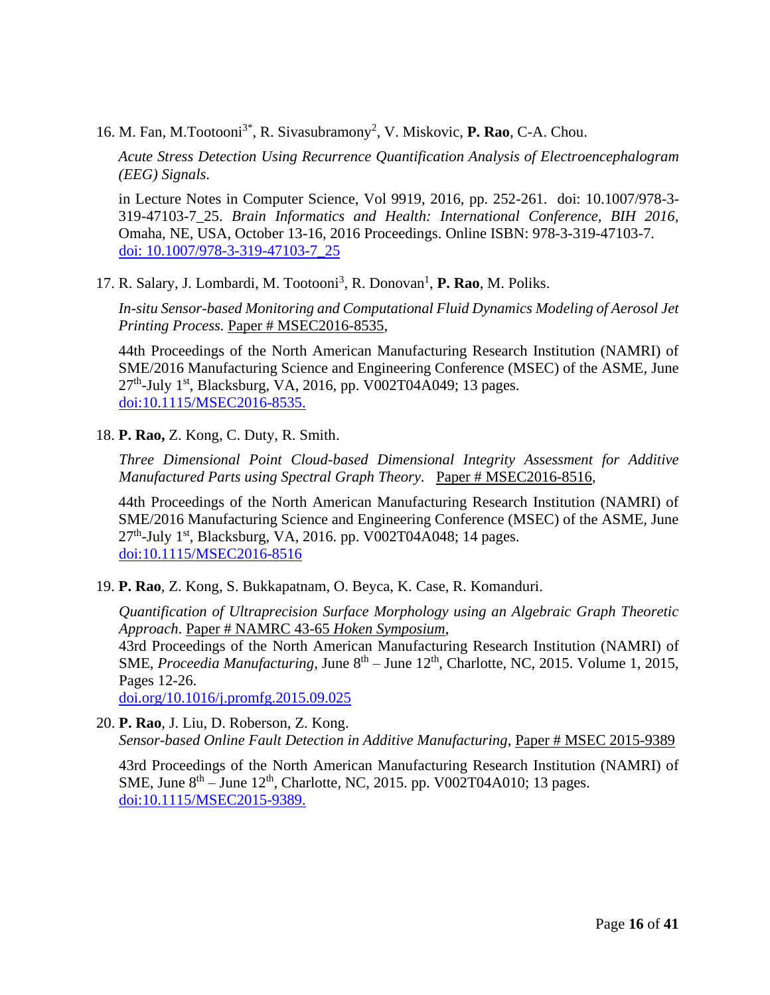16. M. Fan, M.Tootooni<sup>3\*</sup>, R. Sivasubramony<sup>2</sup>, V. Miskovic, **P. Rao**, C-A. Chou.

*Acute Stress Detection Using Recurrence Quantification Analysis of Electroencephalogram (EEG) Signals*.

in Lecture Notes in Computer Science, Vol 9919, 2016, pp. 252-261. doi: 10.1007/978-3- 319-47103-7\_25. *Brain Informatics and Health: International Conference, BIH 2016,*  Omaha, NE, USA, October 13-16, 2016 Proceedings. Online ISBN: 978-3-319-47103-7. [doi: 10.1007/978-3-319-47103-7\\_25](http://link.springer.com/chapter/10.1007/978-3-319-47103-7_25)

17. R. Salary, J. Lombardi, M. Tootooni<sup>3</sup>, R. Donovan<sup>1</sup>, P. Rao, M. Poliks.

*In-situ Sensor-based Monitoring and Computational Fluid Dynamics Modeling of Aerosol Jet Printing Process.* Paper # MSEC2016-8535,

44th Proceedings of the North American Manufacturing Research Institution (NAMRI) of SME/2016 Manufacturing Science and Engineering Conference (MSEC) of the ASME, June 27<sup>th</sup>-July 1<sup>st</sup>, Blacksburg, VA, 2016, pp. V002T04A049; 13 pages. [doi:10.1115/MSEC2016-8535.](http://proceedings.asmedigitalcollection.asme.org/proceeding.aspx?articleid=2558769)

18. **P. Rao,** Z. Kong, C. Duty, R. Smith.

*Three Dimensional Point Cloud-based Dimensional Integrity Assessment for Additive Manufactured Parts using Spectral Graph Theory.* Paper # MSEC2016-8516,

44th Proceedings of the North American Manufacturing Research Institution (NAMRI) of SME/2016 Manufacturing Science and Engineering Conference (MSEC) of the ASME, June 27<sup>th</sup>-July 1<sup>st</sup>, Blacksburg, VA, 2016. pp. V002T04A048; 14 pages. [doi:10.1115/MSEC2016-8516](http://proceedings.asmedigitalcollection.asme.org/proceeding.aspx?articleid=2558768)

19. **P. Rao**, Z. Kong, S. Bukkapatnam, O. Beyca, K. Case, R. Komanduri.

*Quantification of Ultraprecision Surface Morphology using an Algebraic Graph Theoretic Approach*. Paper # NAMRC 43-65 *Hoken Symposium*,

43rd Proceedings of the North American Manufacturing Research Institution (NAMRI) of SME, *Proceedia Manufacturing*, June 8<sup>th</sup> – June 12<sup>th</sup>, Charlotte, NC, 2015. Volume 1, 2015, Pages 12-26.

[doi.org/10.1016/j.promfg.2015.09.025](http://www.sciencedirect.com/science/article/pii/S2351978915010252)

20. **P. Rao**, J. Liu, D. Roberson, Z. Kong. *Sensor-based Online Fault Detection in Additive Manufacturing*, Paper # MSEC 2015-9389

43rd Proceedings of the North American Manufacturing Research Institution (NAMRI) of SME, June  $8^{th}$  – June  $12^{th}$ , Charlotte, NC, 2015. pp. V002T04A010; 13 pages. [doi:10.1115/MSEC2015-9389.](http://proceedings.asmedigitalcollection.asme.org/proceeding.aspx?articleid=2445985)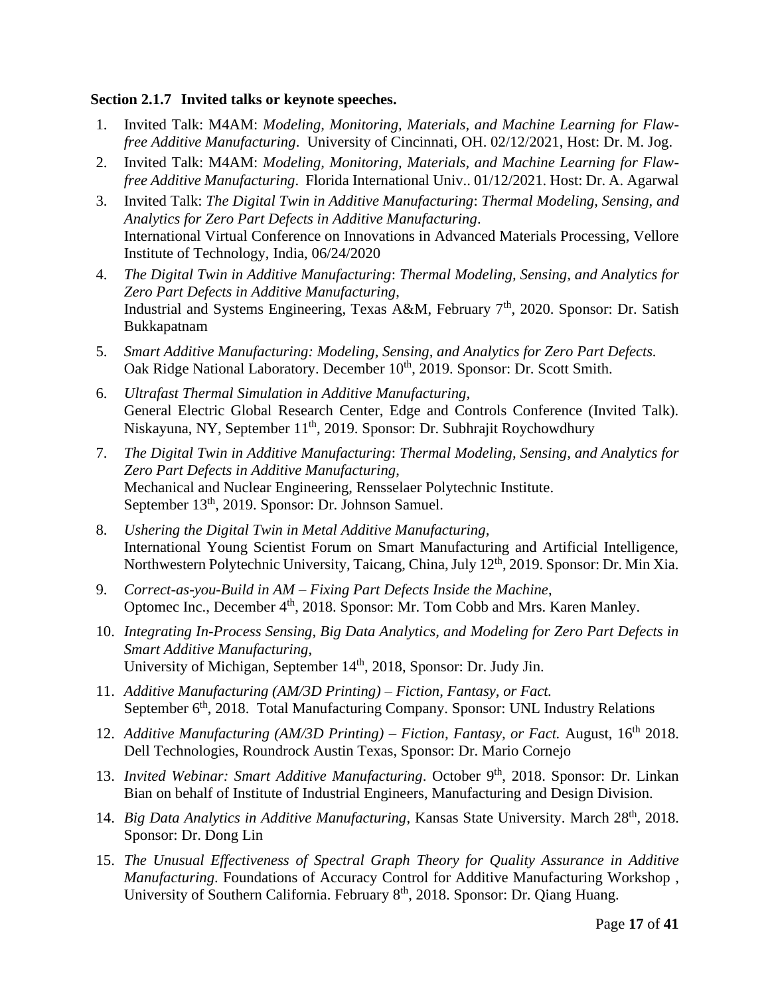# **Section 2.1.7 Invited talks or keynote speeches.**

- 1. Invited Talk: M4AM: *Modeling, Monitoring, Materials, and Machine Learning for Flawfree Additive Manufacturing*. University of Cincinnati, OH. 02/12/2021, Host: Dr. M. Jog.
- 2. Invited Talk: M4AM: *Modeling, Monitoring, Materials, and Machine Learning for Flawfree Additive Manufacturing*. Florida International Univ.. 01/12/2021. Host: Dr. A. Agarwal
- 3. Invited Talk: *The Digital Twin in Additive Manufacturing*: *Thermal Modeling, Sensing, and Analytics for Zero Part Defects in Additive Manufacturing*. International Virtual Conference on Innovations in Advanced Materials Processing, Vellore Institute of Technology, India, 06/24/2020
- 4. *The Digital Twin in Additive Manufacturing*: *Thermal Modeling, Sensing, and Analytics for Zero Part Defects in Additive Manufacturing*, Industrial and Systems Engineering, Texas A&M, February 7<sup>th</sup>, 2020. Sponsor: Dr. Satish Bukkapatnam
- 5. *Smart Additive Manufacturing: Modeling, Sensing, and Analytics for Zero Part Defects.*  Oak Ridge National Laboratory. December 10<sup>th</sup>, 2019. Sponsor: Dr. Scott Smith.
- 6. *Ultrafast Thermal Simulation in Additive Manufacturing,*  General Electric Global Research Center, Edge and Controls Conference (Invited Talk). Niskayuna, NY, September 11th, 2019. Sponsor: Dr. Subhrajit Roychowdhury
- 7. *The Digital Twin in Additive Manufacturing*: *Thermal Modeling, Sensing, and Analytics for Zero Part Defects in Additive Manufacturing*, Mechanical and Nuclear Engineering, Rensselaer Polytechnic Institute. September 13<sup>th</sup>, 2019. Sponsor: Dr. Johnson Samuel.
- 8. *Ushering the Digital Twin in Metal Additive Manufacturing,*  International Young Scientist Forum on Smart Manufacturing and Artificial Intelligence, Northwestern Polytechnic University, Taicang, China, July 12th, 2019. Sponsor: Dr. Min Xia.
- 9. *Correct-as-you-Build in AM – Fixing Part Defects Inside the Machine*, Optomec Inc., December 4<sup>th</sup>, 2018. Sponsor: Mr. Tom Cobb and Mrs. Karen Manley.
- 10. *Integrating In-Process Sensing, Big Data Analytics, and Modeling for Zero Part Defects in Smart Additive Manufacturing*, University of Michigan, September 14<sup>th</sup>, 2018, Sponsor: Dr. Judy Jin.
- 11. *Additive Manufacturing (AM/3D Printing) – Fiction, Fantasy, or Fact.* September 6<sup>th</sup>, 2018. Total Manufacturing Company. Sponsor: UNL Industry Relations
- 12. *Additive Manufacturing (AM/3D Printing) Fiction, Fantasy, or Fact. August, 16<sup>th</sup> 2018.* Dell Technologies, Roundrock Austin Texas, Sponsor: Dr. Mario Cornejo
- 13. Invited Webinar: Smart Additive Manufacturing. October 9<sup>th</sup>, 2018. Sponsor: Dr. Linkan Bian on behalf of Institute of Industrial Engineers, Manufacturing and Design Division.
- 14. *Big Data Analytics in Additive Manufacturing*, Kansas State University. March 28<sup>th</sup>, 2018. Sponsor: Dr. Dong Lin
- 15. *The Unusual Effectiveness of Spectral Graph Theory for Quality Assurance in Additive Manufacturing*. Foundations of Accuracy Control for Additive Manufacturing Workshop , University of Southern California. February 8<sup>th</sup>, 2018. Sponsor: Dr. Qiang Huang.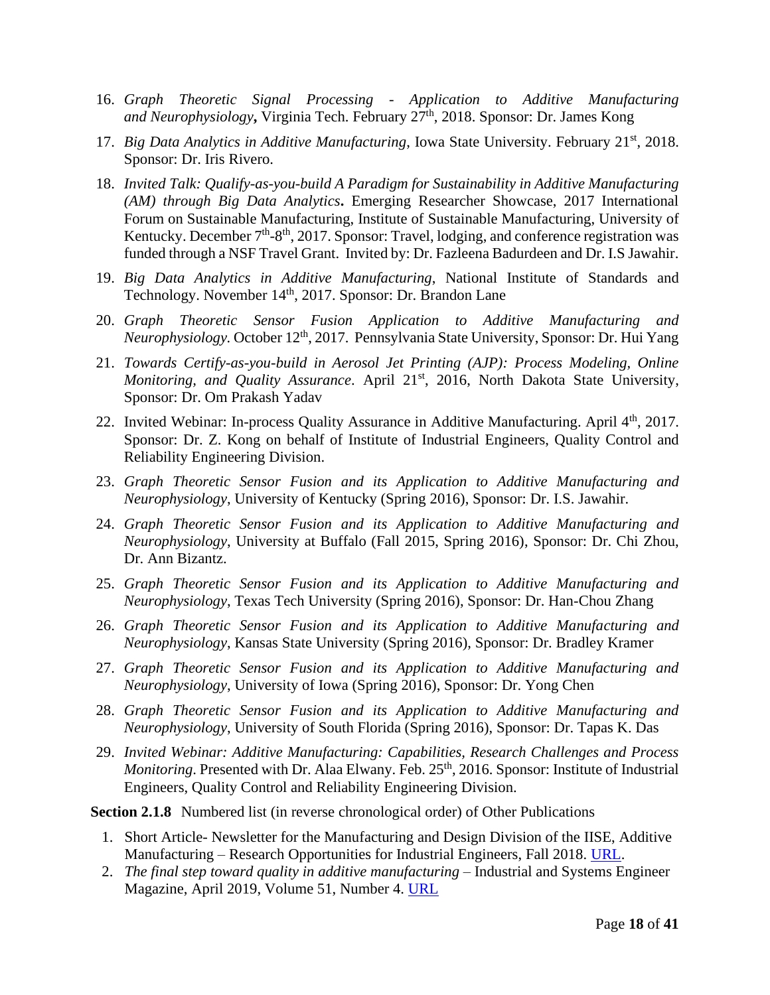- 16. *Graph Theoretic Signal Processing - Application to Additive Manufacturing and Neurophysiology***,** Virginia Tech. February 27th, 2018. Sponsor: Dr. James Kong
- 17. *Big Data Analytics in Additive Manufacturing*, Iowa State University. February 21st, 2018. Sponsor: Dr. Iris Rivero.
- 18. *Invited Talk: Qualify-as-you-build A Paradigm for Sustainability in Additive Manufacturing (AM) through Big Data Analytics***.** Emerging Researcher Showcase, 2017 International Forum on Sustainable Manufacturing, Institute of Sustainable Manufacturing, University of Kentucky. December 7<sup>th</sup>-8<sup>th</sup>, 2017. Sponsor: Travel, lodging, and conference registration was funded through a NSF Travel Grant. Invited by: Dr. Fazleena Badurdeen and Dr. I.S Jawahir.
- 19. *Big Data Analytics in Additive Manufacturing*, National Institute of Standards and Technology. November 14<sup>th</sup>, 2017. Sponsor: Dr. Brandon Lane
- 20. *Graph Theoretic Sensor Fusion Application to Additive Manufacturing and Neurophysiology.* October 12th, 2017. Pennsylvania State University, Sponsor: Dr. Hui Yang
- 21. *Towards Certify-as-you-build in Aerosol Jet Printing (AJP): Process Modeling, Online Monitoring, and Quality Assurance. April 21<sup>st</sup>, 2016, North Dakota State University,* Sponsor: Dr. Om Prakash Yadav
- 22. Invited Webinar: In-process Ouality Assurance in Additive Manufacturing. April 4<sup>th</sup>, 2017. Sponsor: Dr. Z. Kong on behalf of Institute of Industrial Engineers, Quality Control and Reliability Engineering Division.
- 23. *Graph Theoretic Sensor Fusion and its Application to Additive Manufacturing and Neurophysiology*, University of Kentucky (Spring 2016), Sponsor: Dr. I.S. Jawahir.
- 24. *Graph Theoretic Sensor Fusion and its Application to Additive Manufacturing and Neurophysiology*, University at Buffalo (Fall 2015, Spring 2016), Sponsor: Dr. Chi Zhou, Dr. Ann Bizantz.
- 25. *Graph Theoretic Sensor Fusion and its Application to Additive Manufacturing and Neurophysiology*, Texas Tech University (Spring 2016), Sponsor: Dr. Han-Chou Zhang
- 26. *Graph Theoretic Sensor Fusion and its Application to Additive Manufacturing and Neurophysiology*, Kansas State University (Spring 2016), Sponsor: Dr. Bradley Kramer
- 27. *Graph Theoretic Sensor Fusion and its Application to Additive Manufacturing and Neurophysiology*, University of Iowa (Spring 2016), Sponsor: Dr. Yong Chen
- 28. *Graph Theoretic Sensor Fusion and its Application to Additive Manufacturing and Neurophysiology*, University of South Florida (Spring 2016), Sponsor: Dr. Tapas K. Das
- 29. *Invited Webinar: Additive Manufacturing: Capabilities, Research Challenges and Process Monitoring*. Presented with Dr. Alaa Elwany. Feb. 25<sup>th</sup>, 2016. Sponsor: Institute of Industrial Engineers, Quality Control and Reliability Engineering Division.

**Section 2.1.8** Numbered list (in reverse chronological order) of Other Publications

- 1. Short Article- Newsletter for the Manufacturing and Design Division of the IISE, Additive Manufacturing – Research Opportunities for Industrial Engineers, Fall 2018. [URL.](http://www.iise.org/Details.aspx?id=47445)
- 2. *The final step toward quality in additive manufacturing* Industrial and Systems Engineer Magazine, April 2019, Volume 51, Number 4. [URL](https://www.iise.org/isemagazine/details.aspx?id=48747)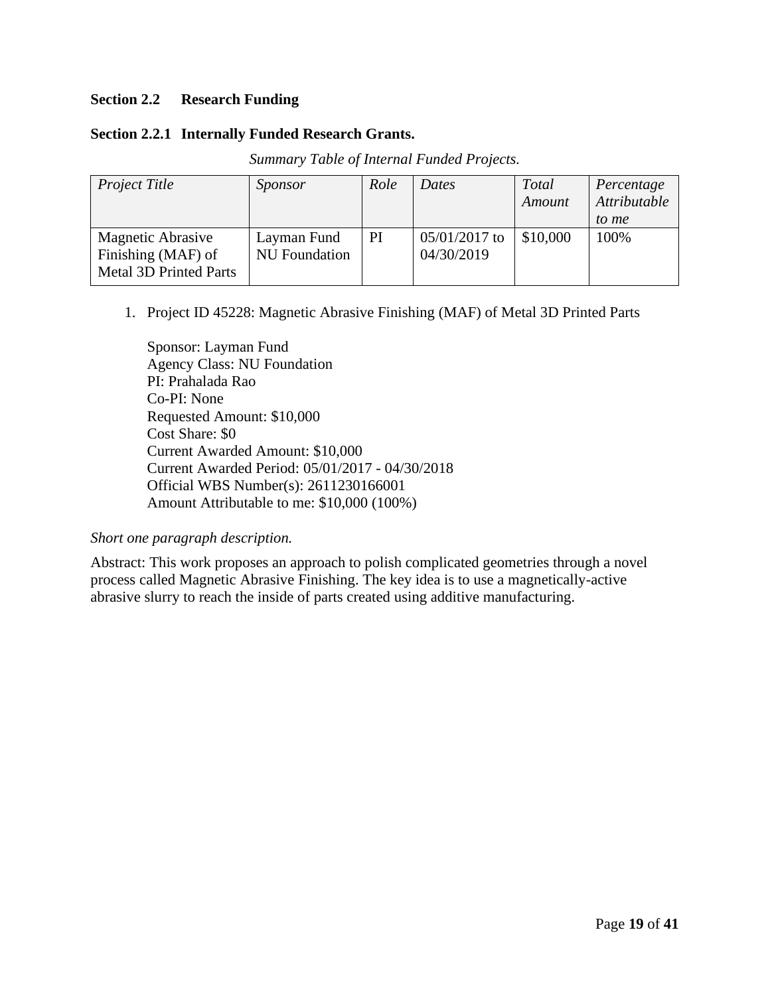# **Section 2.2 Research Funding**

# **Section 2.2.1 Internally Funded Research Grants.**

| Project Title                                                                   | Sponsor                             | Role | Dates                         | <b>Total</b><br>Amount | Percentage<br>Attributable<br>to me |
|---------------------------------------------------------------------------------|-------------------------------------|------|-------------------------------|------------------------|-------------------------------------|
| <b>Magnetic Abrasive</b><br>Finishing (MAF) of<br><b>Metal 3D Printed Parts</b> | Layman Fund<br><b>NU</b> Foundation | PI   | $05/01/2017$ to<br>04/30/2019 | \$10,000               | 100%                                |

*Summary Table of Internal Funded Projects.*

1. Project ID 45228: Magnetic Abrasive Finishing (MAF) of Metal 3D Printed Parts

Sponsor: Layman Fund Agency Class: NU Foundation PI: Prahalada Rao Co-PI: None Requested Amount: \$10,000 Cost Share: \$0 Current Awarded Amount: \$10,000 Current Awarded Period: 05/01/2017 - 04/30/2018 Official WBS Number(s): 2611230166001 Amount Attributable to me: \$10,000 (100%)

# *Short one paragraph description.*

Abstract: This work proposes an approach to polish complicated geometries through a novel process called Magnetic Abrasive Finishing. The key idea is to use a magnetically-active abrasive slurry to reach the inside of parts created using additive manufacturing.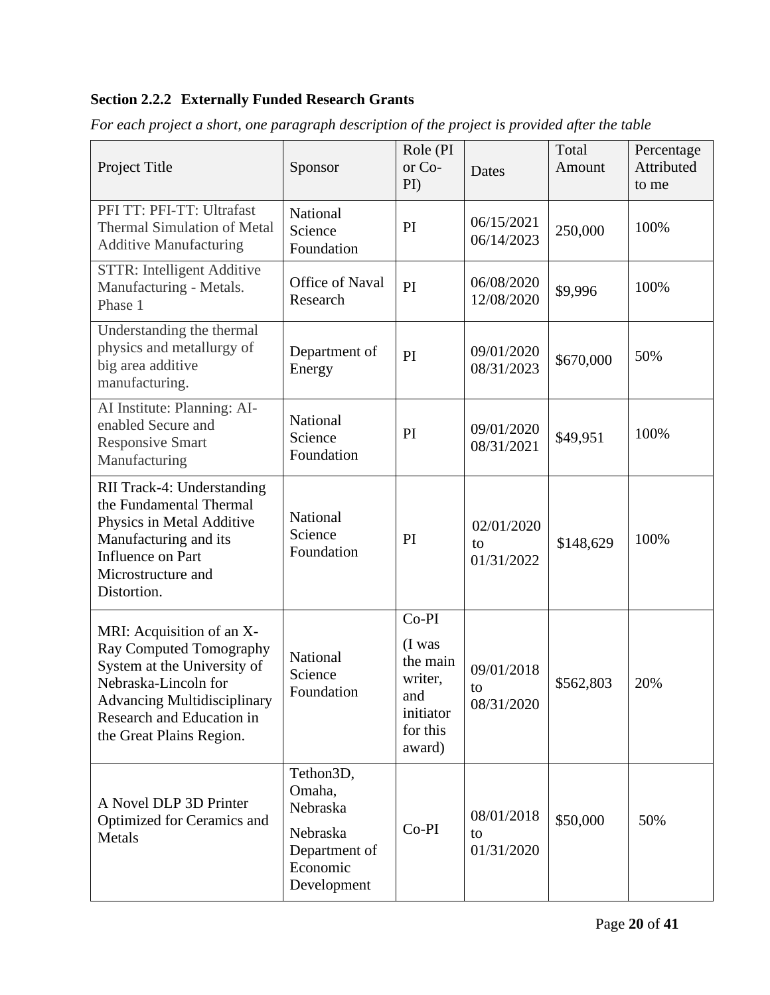# **Section 2.2.2 Externally Funded Research Grants**

| Project Title                                                                                                                                                                                                                                   | Sponsor                            | Role (PI<br>or Co-<br>PI)                                                        | Dates                          | Total<br>Amount | Percentage<br>Attributed<br>to me |
|-------------------------------------------------------------------------------------------------------------------------------------------------------------------------------------------------------------------------------------------------|------------------------------------|----------------------------------------------------------------------------------|--------------------------------|-----------------|-----------------------------------|
| PFI TT: PFI-TT: Ultrafast<br><b>Thermal Simulation of Metal</b><br><b>Additive Manufacturing</b>                                                                                                                                                | National<br>Science<br>Foundation  | PI                                                                               | 06/15/2021<br>06/14/2023       | 250,000         | 100%                              |
| STTR: Intelligent Additive<br>Manufacturing - Metals.<br>Phase 1                                                                                                                                                                                | <b>Office of Naval</b><br>Research | PI                                                                               | 06/08/2020<br>12/08/2020       | \$9,996         | 100%                              |
| Understanding the thermal<br>physics and metallurgy of<br>big area additive<br>manufacturing.                                                                                                                                                   | Department of<br>Energy            | PI                                                                               | 09/01/2020<br>08/31/2023       | \$670,000       | 50%                               |
| AI Institute: Planning: AI-<br>enabled Secure and<br><b>Responsive Smart</b><br>Manufacturing                                                                                                                                                   | National<br>Science<br>Foundation  | PI                                                                               | 09/01/2020<br>08/31/2021       | \$49,951        | 100%                              |
| RII Track-4: Understanding<br>the Fundamental Thermal<br>National<br>Physics in Metal Additive<br>Science<br>Manufacturing and its<br>Foundation<br>Influence on Part<br>Microstructure and<br>Distortion.                                      |                                    | PI                                                                               | 02/01/2020<br>to<br>01/31/2022 | \$148,629       | 100%                              |
| MRI: Acquisition of an X-<br>Ray Computed Tomography<br>National<br>System at the University of<br>Science<br>Nebraska-Lincoln for<br>Foundation<br><b>Advancing Multidisciplinary</b><br>Research and Education in<br>the Great Plains Region. |                                    | Co-PI<br>(I was<br>the main<br>writer,<br>and<br>initiator<br>for this<br>award) | 09/01/2018<br>to<br>08/31/2020 | \$562,803       | 20%                               |
| Tethon3D,<br>Omaha,<br>A Novel DLP 3D Printer<br>Nebraska<br>Optimized for Ceramics and<br>Nebraska<br>Metals<br>Department of<br>Economic<br>Development                                                                                       |                                    | $Co-PI$                                                                          | 08/01/2018<br>to<br>01/31/2020 | \$50,000        | 50%                               |

*For each project a short, one paragraph description of the project is provided after the table*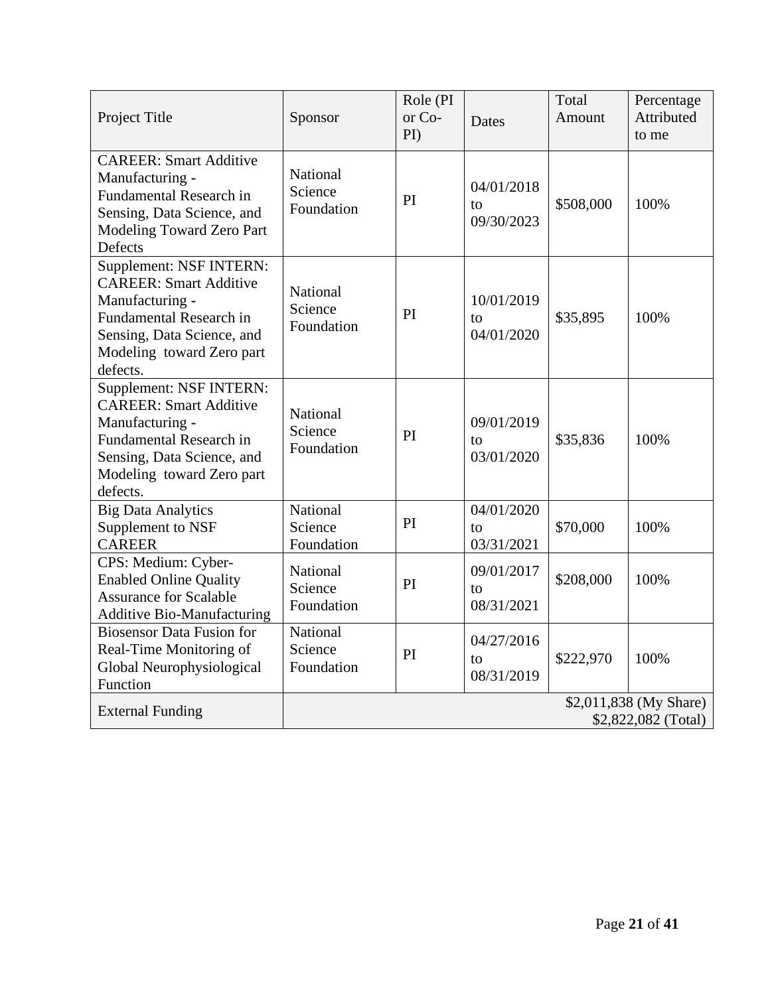| Project Title                                                                                                                                                                        | Sponsor                           | Role (PI<br>or Co-<br>$\rm{PD}$ | Dates                          | Total<br>Amount | Percentage<br>Attributed<br>to me             |
|--------------------------------------------------------------------------------------------------------------------------------------------------------------------------------------|-----------------------------------|---------------------------------|--------------------------------|-----------------|-----------------------------------------------|
| <b>CAREER: Smart Additive</b><br>Manufacturing -<br><b>Fundamental Research in</b><br>Sensing, Data Science, and<br>Modeling Toward Zero Part<br>Defects                             | National<br>Science<br>Foundation | PI                              | 04/01/2018<br>to<br>09/30/2023 | \$508,000       | 100%                                          |
| Supplement: NSF INTERN:<br><b>CAREER: Smart Additive</b><br>Manufacturing -<br>Fundamental Research in<br>Sensing, Data Science, and<br>Modeling toward Zero part<br>defects.        | National<br>Science<br>Foundation | PI                              | 10/01/2019<br>to<br>04/01/2020 | \$35,895        | 100%                                          |
| Supplement: NSF INTERN:<br><b>CAREER: Smart Additive</b><br>Manufacturing -<br><b>Fundamental Research in</b><br>Sensing, Data Science, and<br>Modeling toward Zero part<br>defects. | National<br>Science<br>Foundation | PI                              | 09/01/2019<br>to<br>03/01/2020 | \$35,836        | 100%                                          |
| <b>Big Data Analytics</b><br>Supplement to NSF<br><b>CAREER</b>                                                                                                                      | National<br>Science<br>Foundation | PI                              | 04/01/2020<br>to<br>03/31/2021 | \$70,000        | 100%                                          |
| CPS: Medium: Cyber-<br><b>Enabled Online Quality</b><br><b>Assurance for Scalable</b><br><b>Additive Bio-Manufacturing</b>                                                           | National<br>Science<br>Foundation | PI                              | 09/01/2017<br>to<br>08/31/2021 | \$208,000       | 100%                                          |
| <b>Biosensor Data Fusion for</b><br>Real-Time Monitoring of<br>Global Neurophysiological<br>Function                                                                                 | National<br>Science<br>Foundation | PI                              | 04/27/2016<br>to<br>08/31/2019 | \$222,970       | 100%                                          |
| <b>External Funding</b>                                                                                                                                                              |                                   |                                 |                                |                 | \$2,011,838 (My Share)<br>\$2,822,082 (Total) |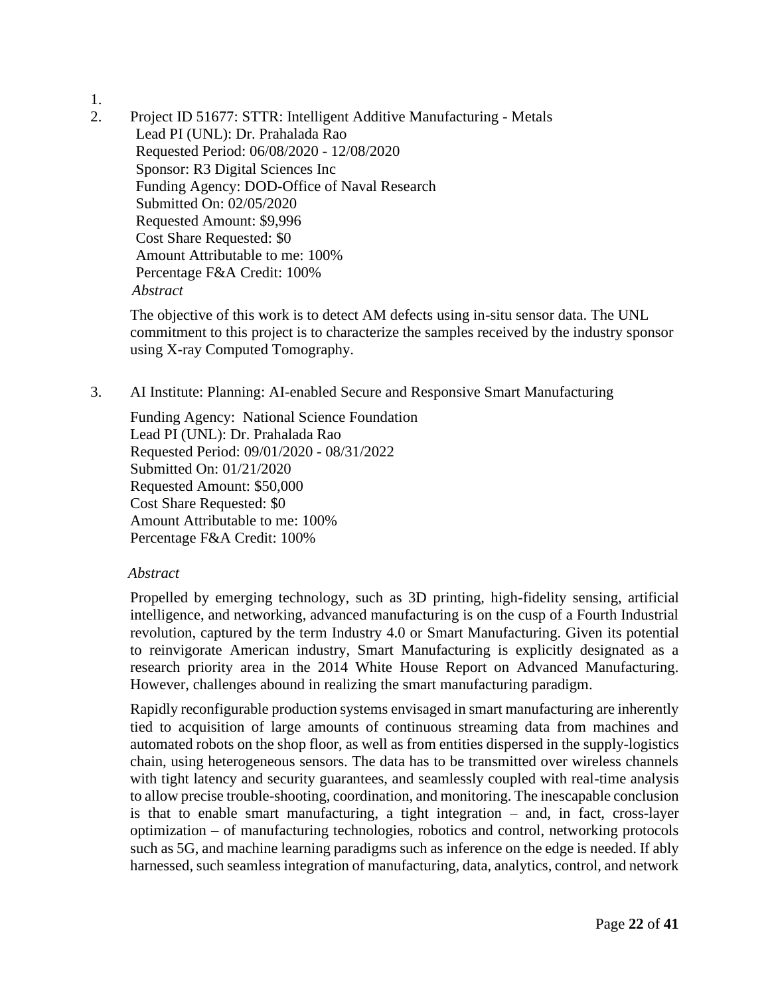- 1.
- 2. Project ID 51677: STTR: Intelligent Additive Manufacturing Metals Lead PI (UNL): Dr. Prahalada Rao Requested Period: 06/08/2020 - 12/08/2020 Sponsor: R3 Digital Sciences Inc Funding Agency: DOD-Office of Naval Research Submitted On: 02/05/2020 Requested Amount: \$9,996 Cost Share Requested: \$0 Amount Attributable to me: 100% Percentage F&A Credit: 100%  *Abstract*

The objective of this work is to detect AM defects using in-situ sensor data. The UNL commitment to this project is to characterize the samples received by the industry sponsor using X-ray Computed Tomography.

3. AI Institute: Planning: AI-enabled Secure and Responsive Smart Manufacturing

Funding Agency: National Science Foundation Lead PI (UNL): Dr. Prahalada Rao Requested Period: 09/01/2020 - 08/31/2022 Submitted On: 01/21/2020 Requested Amount: \$50,000 Cost Share Requested: \$0 Amount Attributable to me: 100% Percentage F&A Credit: 100%

# *Abstract*

Propelled by emerging technology, such as 3D printing, high-fidelity sensing, artificial intelligence, and networking, advanced manufacturing is on the cusp of a Fourth Industrial revolution, captured by the term Industry 4.0 or Smart Manufacturing. Given its potential to reinvigorate American industry, Smart Manufacturing is explicitly designated as a research priority area in the 2014 White House Report on Advanced Manufacturing. However, challenges abound in realizing the smart manufacturing paradigm.

Rapidly reconfigurable production systems envisaged in smart manufacturing are inherently tied to acquisition of large amounts of continuous streaming data from machines and automated robots on the shop floor, as well as from entities dispersed in the supply-logistics chain, using heterogeneous sensors. The data has to be transmitted over wireless channels with tight latency and security guarantees, and seamlessly coupled with real-time analysis to allow precise trouble-shooting, coordination, and monitoring. The inescapable conclusion is that to enable smart manufacturing, a tight integration – and, in fact, cross-layer optimization – of manufacturing technologies, robotics and control, networking protocols such as 5G, and machine learning paradigms such as inference on the edge is needed. If ably harnessed, such seamless integration of manufacturing, data, analytics, control, and network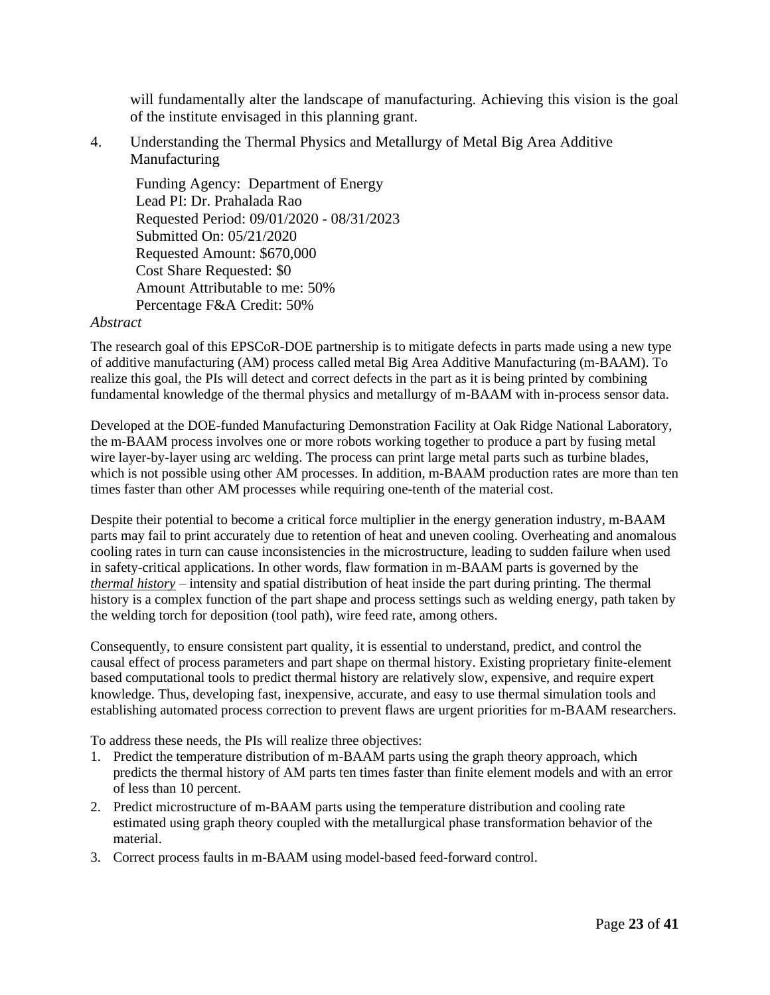will fundamentally alter the landscape of manufacturing. Achieving this vision is the goal of the institute envisaged in this planning grant.

4. Understanding the Thermal Physics and Metallurgy of Metal Big Area Additive Manufacturing

Funding Agency: Department of Energy Lead PI: Dr. Prahalada Rao Requested Period: 09/01/2020 - 08/31/2023 Submitted On: 05/21/2020 Requested Amount: \$670,000 Cost Share Requested: \$0 Amount Attributable to me: 50% Percentage F&A Credit: 50%

#### *Abstract*

The research goal of this EPSCoR-DOE partnership is to mitigate defects in parts made using a new type of additive manufacturing (AM) process called metal Big Area Additive Manufacturing (m-BAAM). To realize this goal, the PIs will detect and correct defects in the part as it is being printed by combining fundamental knowledge of the thermal physics and metallurgy of m-BAAM with in-process sensor data.

Developed at the DOE-funded Manufacturing Demonstration Facility at Oak Ridge National Laboratory, the m-BAAM process involves one or more robots working together to produce a part by fusing metal wire layer-by-layer using arc welding. The process can print large metal parts such as turbine blades, which is not possible using other AM processes. In addition, m-BAAM production rates are more than ten times faster than other AM processes while requiring one-tenth of the material cost.

Despite their potential to become a critical force multiplier in the energy generation industry, m-BAAM parts may fail to print accurately due to retention of heat and uneven cooling. Overheating and anomalous cooling rates in turn can cause inconsistencies in the microstructure, leading to sudden failure when used in safety-critical applications. In other words, flaw formation in m-BAAM parts is governed by the *thermal history* – intensity and spatial distribution of heat inside the part during printing. The thermal history is a complex function of the part shape and process settings such as welding energy, path taken by the welding torch for deposition (tool path), wire feed rate, among others.

Consequently, to ensure consistent part quality, it is essential to understand, predict, and control the causal effect of process parameters and part shape on thermal history. Existing proprietary finite-element based computational tools to predict thermal history are relatively slow, expensive, and require expert knowledge. Thus, developing fast, inexpensive, accurate, and easy to use thermal simulation tools and establishing automated process correction to prevent flaws are urgent priorities for m-BAAM researchers.

To address these needs, the PIs will realize three objectives:

- 1. Predict the temperature distribution of m-BAAM parts using the graph theory approach, which predicts the thermal history of AM parts ten times faster than finite element models and with an error of less than 10 percent.
- 2. Predict microstructure of m-BAAM parts using the temperature distribution and cooling rate estimated using graph theory coupled with the metallurgical phase transformation behavior of the material.
- 3. Correct process faults in m-BAAM using model-based feed-forward control.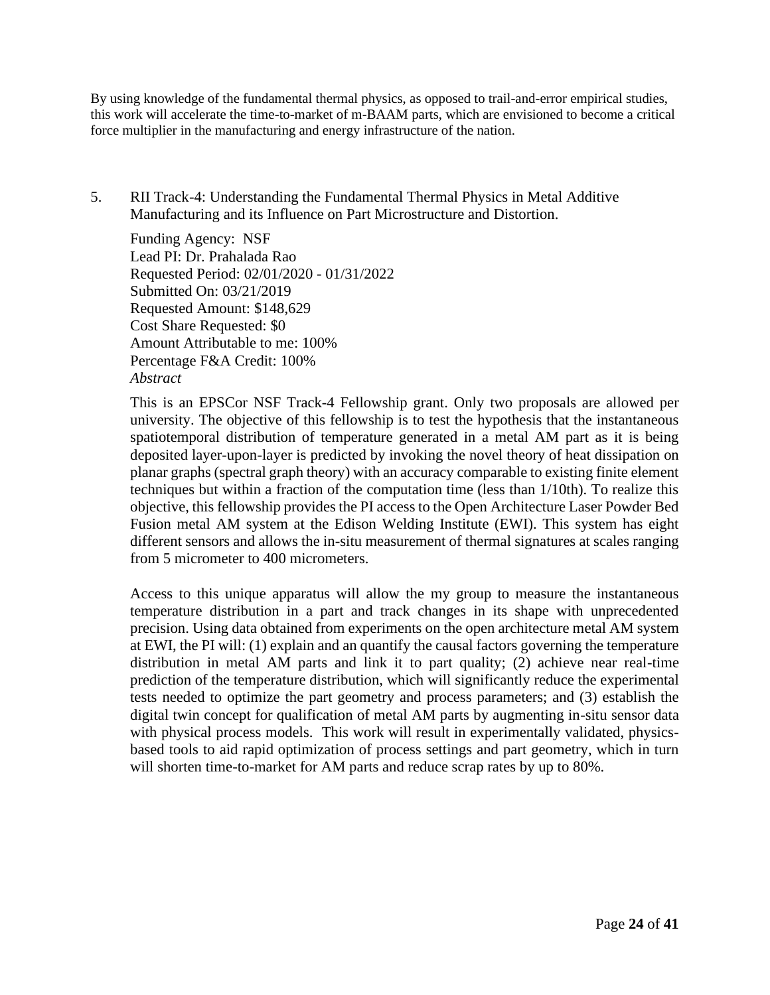By using knowledge of the fundamental thermal physics, as opposed to trail-and-error empirical studies, this work will accelerate the time-to-market of m-BAAM parts, which are envisioned to become a critical force multiplier in the manufacturing and energy infrastructure of the nation.

5. RII Track-4: Understanding the Fundamental Thermal Physics in Metal Additive Manufacturing and its Influence on Part Microstructure and Distortion.

Funding Agency: NSF Lead PI: Dr. Prahalada Rao Requested Period: 02/01/2020 - 01/31/2022 Submitted On: 03/21/2019 Requested Amount: \$148,629 Cost Share Requested: \$0 Amount Attributable to me: 100% Percentage F&A Credit: 100% *Abstract*

This is an EPSCor NSF Track-4 Fellowship grant. Only two proposals are allowed per university. The objective of this fellowship is to test the hypothesis that the instantaneous spatiotemporal distribution of temperature generated in a metal AM part as it is being deposited layer-upon-layer is predicted by invoking the novel theory of heat dissipation on planar graphs (spectral graph theory) with an accuracy comparable to existing finite element techniques but within a fraction of the computation time (less than 1/10th). To realize this objective, this fellowship provides the PI access to the Open Architecture Laser Powder Bed Fusion metal AM system at the Edison Welding Institute (EWI). This system has eight different sensors and allows the in-situ measurement of thermal signatures at scales ranging from 5 micrometer to 400 micrometers.

Access to this unique apparatus will allow the my group to measure the instantaneous temperature distribution in a part and track changes in its shape with unprecedented precision. Using data obtained from experiments on the open architecture metal AM system at EWI, the PI will: (1) explain and an quantify the causal factors governing the temperature distribution in metal AM parts and link it to part quality; (2) achieve near real-time prediction of the temperature distribution, which will significantly reduce the experimental tests needed to optimize the part geometry and process parameters; and (3) establish the digital twin concept for qualification of metal AM parts by augmenting in-situ sensor data with physical process models. This work will result in experimentally validated, physicsbased tools to aid rapid optimization of process settings and part geometry, which in turn will shorten time-to-market for AM parts and reduce scrap rates by up to 80%.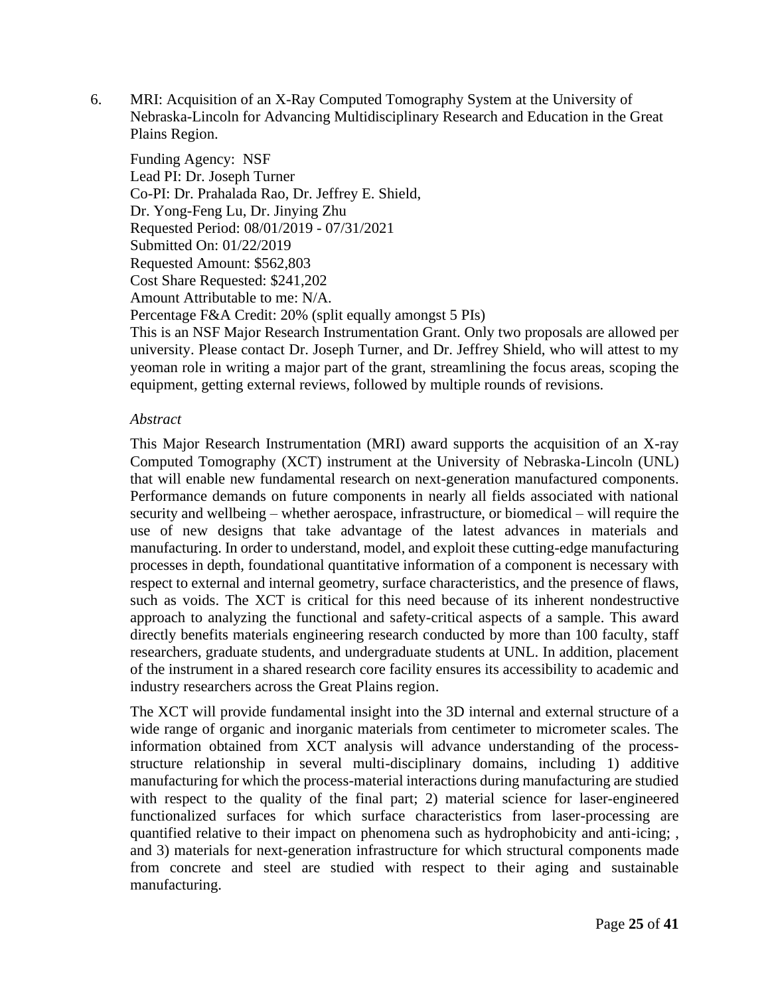6. MRI: Acquisition of an X-Ray Computed Tomography System at the University of Nebraska-Lincoln for Advancing Multidisciplinary Research and Education in the Great Plains Region.

Funding Agency: NSF Lead PI: Dr. Joseph Turner Co-PI: Dr. Prahalada Rao, Dr. Jeffrey E. Shield, Dr. Yong-Feng Lu, Dr. Jinying Zhu Requested Period: 08/01/2019 - 07/31/2021 Submitted On: 01/22/2019 Requested Amount: \$562,803 Cost Share Requested: \$241,202 Amount Attributable to me: N/A. Percentage F&A Credit: 20% (split equally amongst 5 PIs)

This is an NSF Major Research Instrumentation Grant. Only two proposals are allowed per university. Please contact Dr. Joseph Turner, and Dr. Jeffrey Shield, who will attest to my yeoman role in writing a major part of the grant, streamlining the focus areas, scoping the equipment, getting external reviews, followed by multiple rounds of revisions.

# *Abstract*

This Major Research Instrumentation (MRI) award supports the acquisition of an X-ray Computed Tomography (XCT) instrument at the University of Nebraska-Lincoln (UNL) that will enable new fundamental research on next-generation manufactured components. Performance demands on future components in nearly all fields associated with national security and wellbeing – whether aerospace, infrastructure, or biomedical – will require the use of new designs that take advantage of the latest advances in materials and manufacturing. In order to understand, model, and exploit these cutting-edge manufacturing processes in depth, foundational quantitative information of a component is necessary with respect to external and internal geometry, surface characteristics, and the presence of flaws, such as voids. The XCT is critical for this need because of its inherent nondestructive approach to analyzing the functional and safety-critical aspects of a sample. This award directly benefits materials engineering research conducted by more than 100 faculty, staff researchers, graduate students, and undergraduate students at UNL. In addition, placement of the instrument in a shared research core facility ensures its accessibility to academic and industry researchers across the Great Plains region.

The XCT will provide fundamental insight into the 3D internal and external structure of a wide range of organic and inorganic materials from centimeter to micrometer scales. The information obtained from XCT analysis will advance understanding of the processstructure relationship in several multi-disciplinary domains, including 1) additive manufacturing for which the process-material interactions during manufacturing are studied with respect to the quality of the final part; 2) material science for laser-engineered functionalized surfaces for which surface characteristics from laser-processing are quantified relative to their impact on phenomena such as hydrophobicity and anti-icing; , and 3) materials for next-generation infrastructure for which structural components made from concrete and steel are studied with respect to their aging and sustainable manufacturing.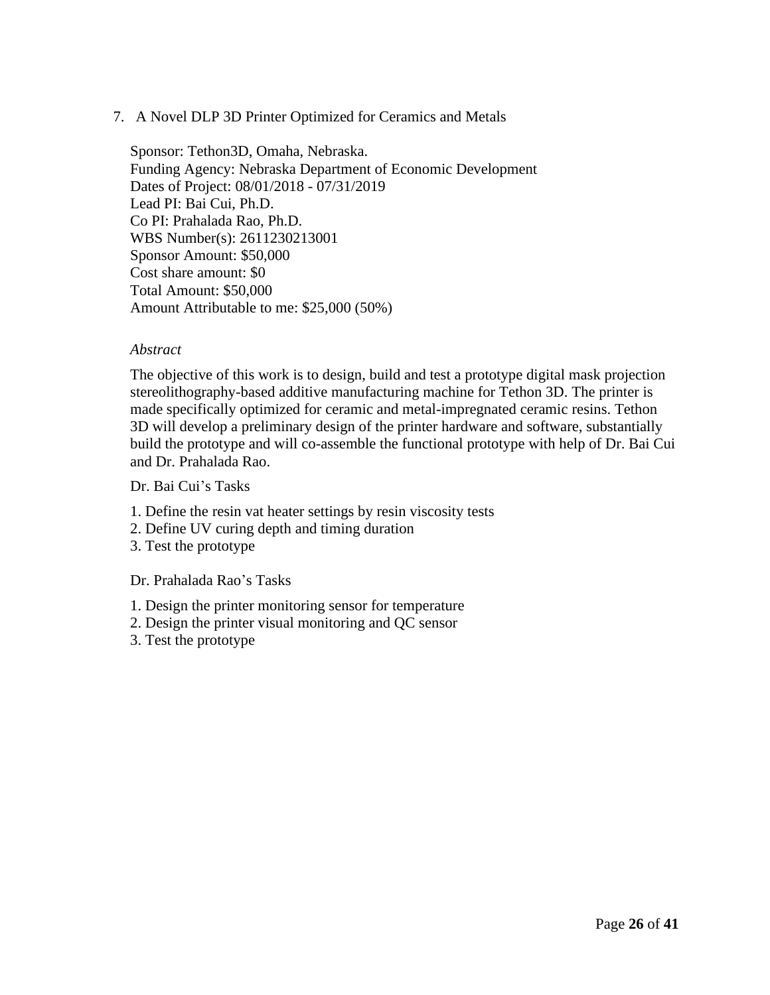# 7. A Novel DLP 3D Printer Optimized for Ceramics and Metals

Sponsor: Tethon3D, Omaha, Nebraska. Funding Agency: Nebraska Department of Economic Development Dates of Project: 08/01/2018 - 07/31/2019 Lead PI: Bai Cui, Ph.D. Co PI: Prahalada Rao, Ph.D. WBS Number(s): 2611230213001 Sponsor Amount: \$50,000 Cost share amount: \$0 Total Amount: \$50,000 Amount Attributable to me: \$25,000 (50%)

# *Abstract*

The objective of this work is to design, build and test a prototype digital mask projection stereolithography-based additive manufacturing machine for Tethon 3D. The printer is made specifically optimized for ceramic and metal-impregnated ceramic resins. Tethon 3D will develop a preliminary design of the printer hardware and software, substantially build the prototype and will co-assemble the functional prototype with help of Dr. Bai Cui and Dr. Prahalada Rao.

Dr. Bai Cui's Tasks

- 1. Define the resin vat heater settings by resin viscosity tests
- 2. Define UV curing depth and timing duration
- 3. Test the prototype

Dr. Prahalada Rao's Tasks

- 1. Design the printer monitoring sensor for temperature
- 2. Design the printer visual monitoring and QC sensor
- 3. Test the prototype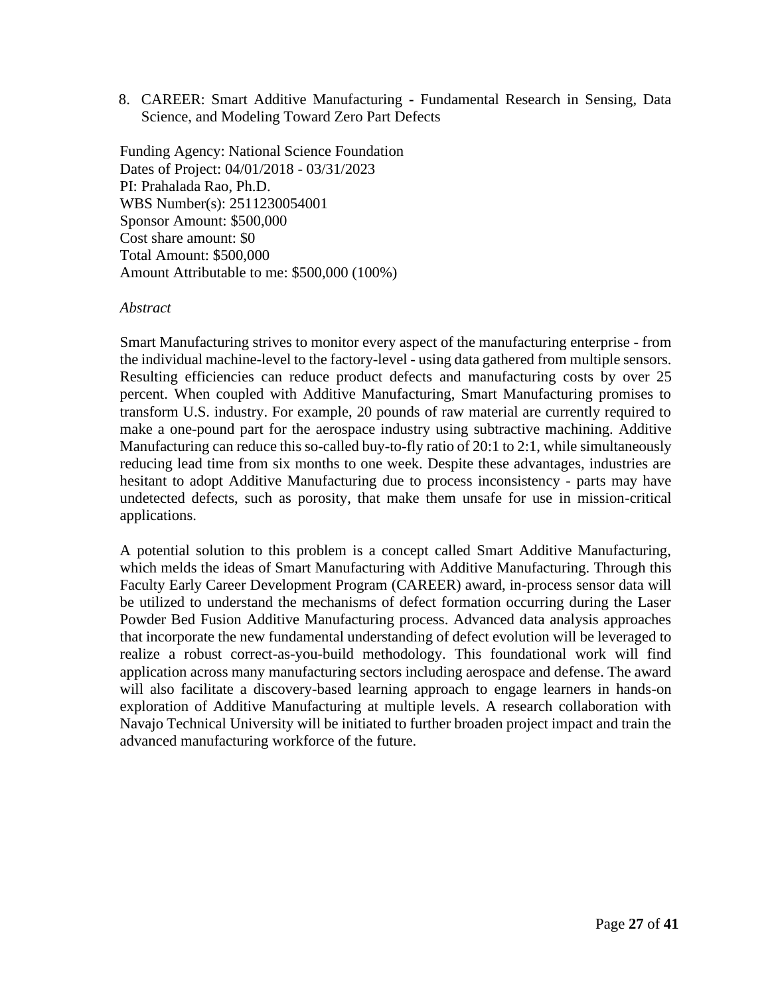8. CAREER: Smart Additive Manufacturing **-** Fundamental Research in Sensing, Data Science, and Modeling Toward Zero Part Defects

Funding Agency: National Science Foundation Dates of Project: 04/01/2018 - 03/31/2023 PI: Prahalada Rao, Ph.D. WBS Number(s): 2511230054001 Sponsor Amount: \$500,000 Cost share amount: \$0 Total Amount: \$500,000 Amount Attributable to me: \$500,000 (100%)

#### *Abstract*

Smart Manufacturing strives to monitor every aspect of the manufacturing enterprise - from the individual machine-level to the factory-level - using data gathered from multiple sensors. Resulting efficiencies can reduce product defects and manufacturing costs by over 25 percent. When coupled with Additive Manufacturing, Smart Manufacturing promises to transform U.S. industry. For example, 20 pounds of raw material are currently required to make a one-pound part for the aerospace industry using subtractive machining. Additive Manufacturing can reduce this so-called buy-to-fly ratio of 20:1 to 2:1, while simultaneously reducing lead time from six months to one week. Despite these advantages, industries are hesitant to adopt Additive Manufacturing due to process inconsistency - parts may have undetected defects, such as porosity, that make them unsafe for use in mission-critical applications.

A potential solution to this problem is a concept called Smart Additive Manufacturing, which melds the ideas of Smart Manufacturing with Additive Manufacturing. Through this Faculty Early Career Development Program (CAREER) award, in-process sensor data will be utilized to understand the mechanisms of defect formation occurring during the Laser Powder Bed Fusion Additive Manufacturing process. Advanced data analysis approaches that incorporate the new fundamental understanding of defect evolution will be leveraged to realize a robust correct-as-you-build methodology. This foundational work will find application across many manufacturing sectors including aerospace and defense. The award will also facilitate a discovery-based learning approach to engage learners in hands-on exploration of Additive Manufacturing at multiple levels. A research collaboration with Navajo Technical University will be initiated to further broaden project impact and train the advanced manufacturing workforce of the future.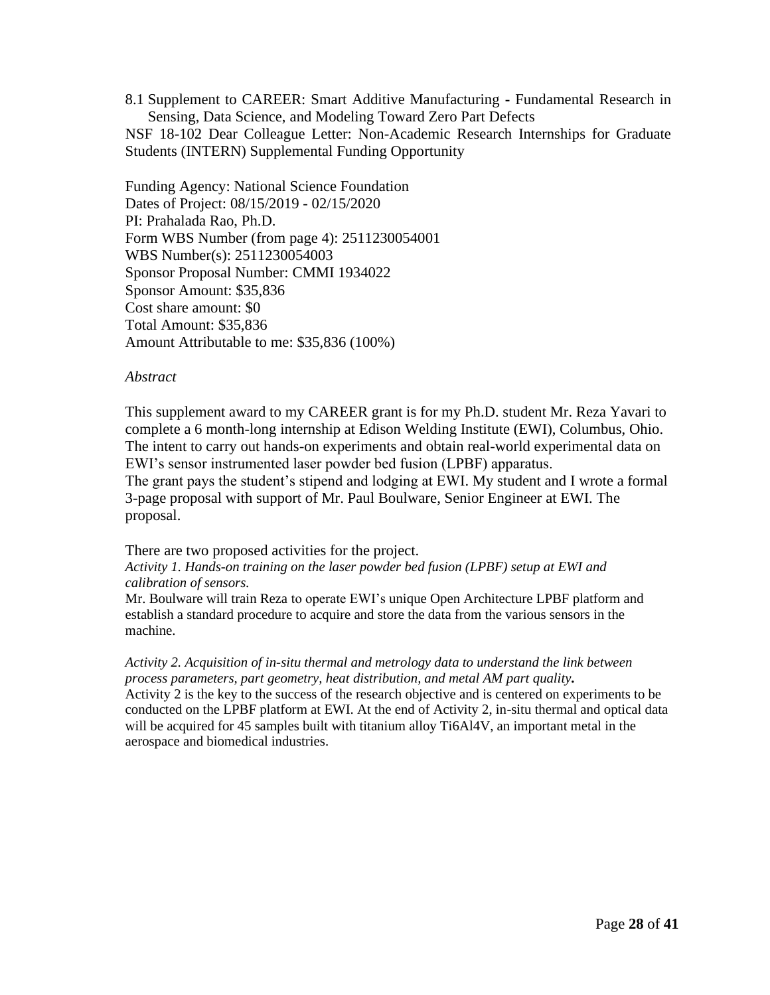8.1 Supplement to CAREER: Smart Additive Manufacturing **-** Fundamental Research in Sensing, Data Science, and Modeling Toward Zero Part Defects NSF 18-102 Dear Colleague Letter: Non-Academic Research Internships for Graduate Students (INTERN) Supplemental Funding Opportunity

Funding Agency: National Science Foundation Dates of Project: 08/15/2019 - 02/15/2020 PI: Prahalada Rao, Ph.D. Form WBS Number (from page 4): 2511230054001 WBS Number(s): 2511230054003 Sponsor Proposal Number: CMMI 1934022 Sponsor Amount: \$35,836 Cost share amount: \$0 Total Amount: \$35,836 Amount Attributable to me: \$35,836 (100%)

#### *Abstract*

This supplement award to my CAREER grant is for my Ph.D. student Mr. Reza Yavari to complete a 6 month-long internship at Edison Welding Institute (EWI), Columbus, Ohio. The intent to carry out hands-on experiments and obtain real-world experimental data on EWI's sensor instrumented laser powder bed fusion (LPBF) apparatus.

The grant pays the student's stipend and lodging at EWI. My student and I wrote a formal 3-page proposal with support of Mr. Paul Boulware, Senior Engineer at EWI. The proposal.

There are two proposed activities for the project.

*Activity 1. Hands-on training on the laser powder bed fusion (LPBF) setup at EWI and calibration of sensors.*

Mr. Boulware will train Reza to operate EWI's unique Open Architecture LPBF platform and establish a standard procedure to acquire and store the data from the various sensors in the machine.

*Activity 2. Acquisition of in-situ thermal and metrology data to understand the link between process parameters, part geometry, heat distribution, and metal AM part quality.*  Activity 2 is the key to the success of the research objective and is centered on experiments to be conducted on the LPBF platform at EWI. At the end of Activity 2, in-situ thermal and optical data will be acquired for 45 samples built with titanium alloy Ti6Al4V, an important metal in the aerospace and biomedical industries.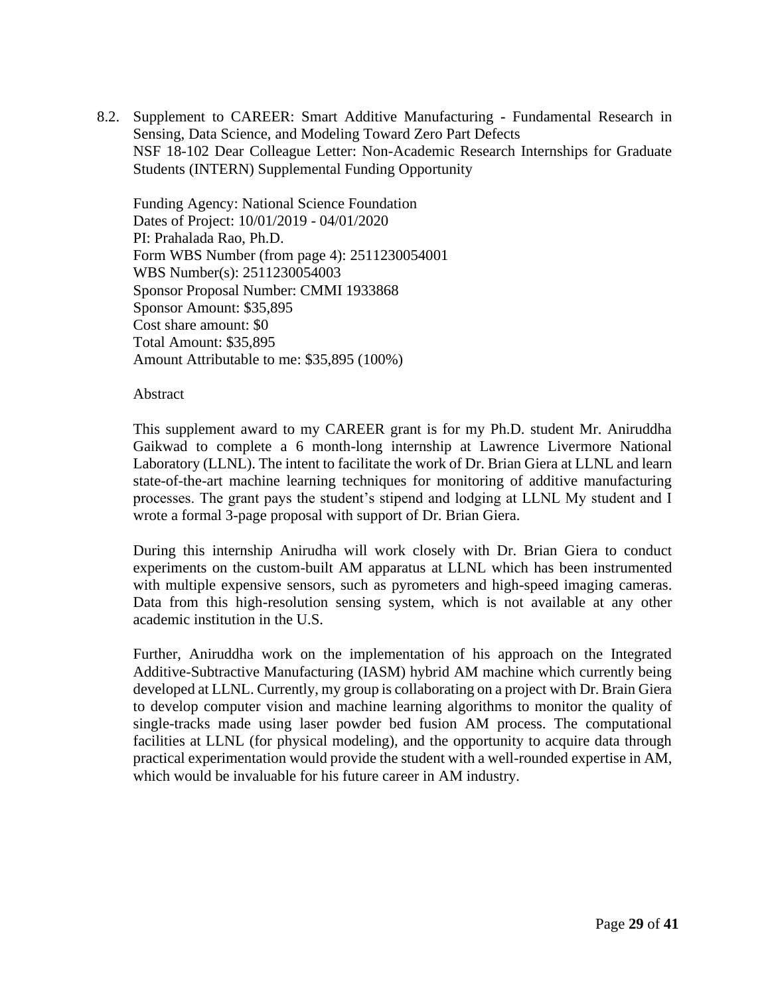8.2. Supplement to CAREER: Smart Additive Manufacturing **-** Fundamental Research in Sensing, Data Science, and Modeling Toward Zero Part Defects NSF 18-102 Dear Colleague Letter: Non-Academic Research Internships for Graduate Students (INTERN) Supplemental Funding Opportunity

Funding Agency: National Science Foundation Dates of Project: 10/01/2019 - 04/01/2020 PI: Prahalada Rao, Ph.D. Form WBS Number (from page 4): 2511230054001 WBS Number(s): 2511230054003 Sponsor Proposal Number: CMMI 1933868 Sponsor Amount: \$35,895 Cost share amount: \$0 Total Amount: \$35,895 Amount Attributable to me: \$35,895 (100%)

#### Abstract

This supplement award to my CAREER grant is for my Ph.D. student Mr. Aniruddha Gaikwad to complete a 6 month-long internship at Lawrence Livermore National Laboratory (LLNL). The intent to facilitate the work of Dr. Brian Giera at LLNL and learn state-of-the-art machine learning techniques for monitoring of additive manufacturing processes. The grant pays the student's stipend and lodging at LLNL My student and I wrote a formal 3-page proposal with support of Dr. Brian Giera.

During this internship Anirudha will work closely with Dr. Brian Giera to conduct experiments on the custom-built AM apparatus at LLNL which has been instrumented with multiple expensive sensors, such as pyrometers and high-speed imaging cameras. Data from this high-resolution sensing system, which is not available at any other academic institution in the U.S.

Further, Aniruddha work on the implementation of his approach on the Integrated Additive-Subtractive Manufacturing (IASM) hybrid AM machine which currently being developed at LLNL. Currently, my group is collaborating on a project with Dr. Brain Giera to develop computer vision and machine learning algorithms to monitor the quality of single-tracks made using laser powder bed fusion AM process. The computational facilities at LLNL (for physical modeling), and the opportunity to acquire data through practical experimentation would provide the student with a well-rounded expertise in AM, which would be invaluable for his future career in AM industry.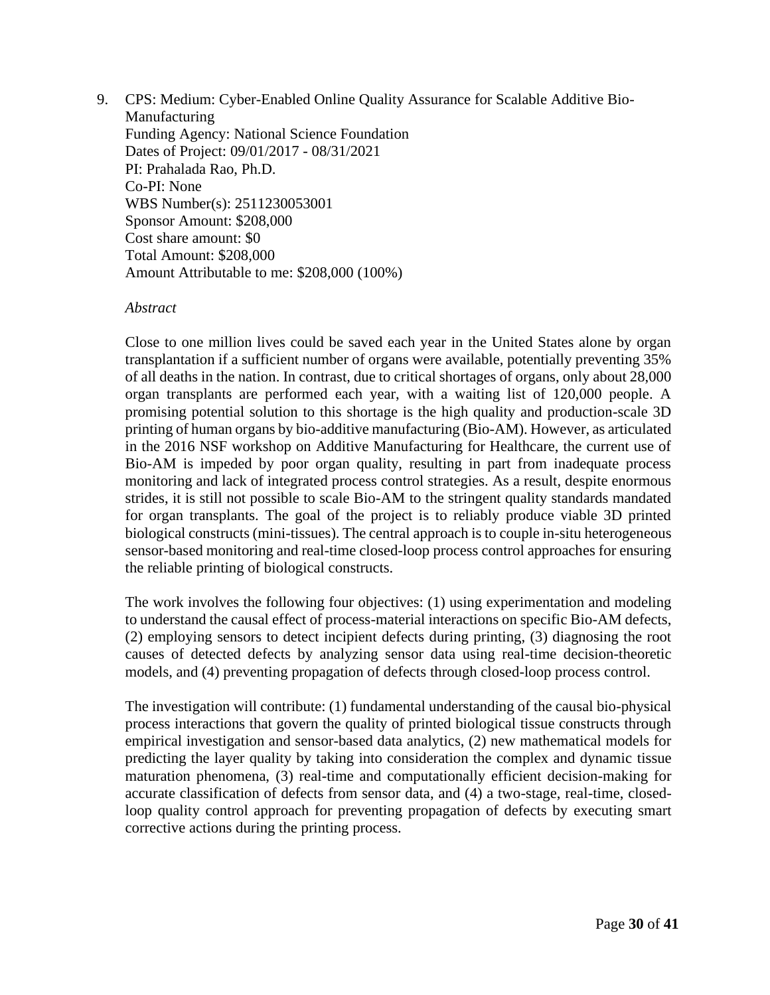9. CPS: Medium: Cyber-Enabled Online Quality Assurance for Scalable Additive Bio-Manufacturing Funding Agency: National Science Foundation Dates of Project: 09/01/2017 - 08/31/2021 PI: Prahalada Rao, Ph.D. Co-PI: None WBS Number(s): 2511230053001 Sponsor Amount: \$208,000 Cost share amount: \$0 Total Amount: \$208,000 Amount Attributable to me: \$208,000 (100%)

#### *Abstract*

Close to one million lives could be saved each year in the United States alone by organ transplantation if a sufficient number of organs were available, potentially preventing 35% of all deaths in the nation. In contrast, due to critical shortages of organs, only about 28,000 organ transplants are performed each year, with a waiting list of 120,000 people. A promising potential solution to this shortage is the high quality and production-scale 3D printing of human organs by bio-additive manufacturing (Bio-AM). However, as articulated in the 2016 NSF workshop on Additive Manufacturing for Healthcare, the current use of Bio-AM is impeded by poor organ quality, resulting in part from inadequate process monitoring and lack of integrated process control strategies. As a result, despite enormous strides, it is still not possible to scale Bio-AM to the stringent quality standards mandated for organ transplants. The goal of the project is to reliably produce viable 3D printed biological constructs (mini-tissues). The central approach is to couple in-situ heterogeneous sensor-based monitoring and real-time closed-loop process control approaches for ensuring the reliable printing of biological constructs.

The work involves the following four objectives: (1) using experimentation and modeling to understand the causal effect of process-material interactions on specific Bio-AM defects, (2) employing sensors to detect incipient defects during printing, (3) diagnosing the root causes of detected defects by analyzing sensor data using real-time decision-theoretic models, and (4) preventing propagation of defects through closed-loop process control.

The investigation will contribute: (1) fundamental understanding of the causal bio-physical process interactions that govern the quality of printed biological tissue constructs through empirical investigation and sensor-based data analytics, (2) new mathematical models for predicting the layer quality by taking into consideration the complex and dynamic tissue maturation phenomena, (3) real-time and computationally efficient decision-making for accurate classification of defects from sensor data, and (4) a two-stage, real-time, closedloop quality control approach for preventing propagation of defects by executing smart corrective actions during the printing process.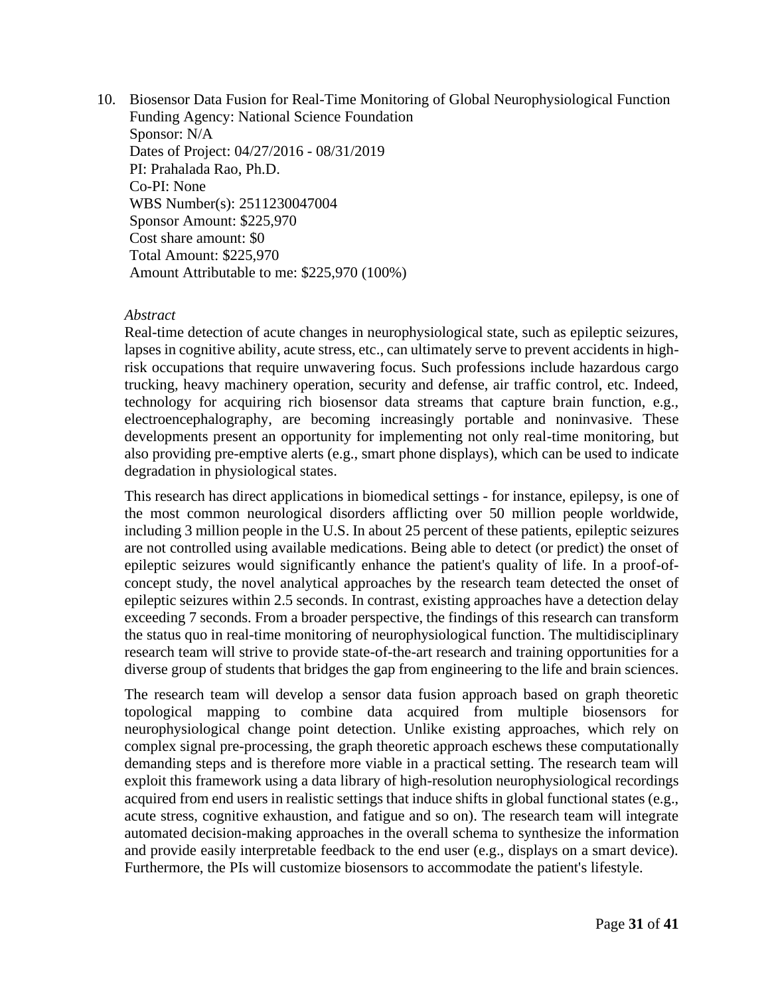10. Biosensor Data Fusion for Real-Time Monitoring of Global Neurophysiological Function Funding Agency: National Science Foundation Sponsor: N/A Dates of Project: 04/27/2016 - 08/31/2019 PI: Prahalada Rao, Ph.D. Co-PI: None WBS Number(s): 2511230047004 Sponsor Amount: \$225,970 Cost share amount: \$0 Total Amount: \$225,970 Amount Attributable to me: \$225,970 (100%)

#### *Abstract*

Real-time detection of acute changes in neurophysiological state, such as epileptic seizures, lapses in cognitive ability, acute stress, etc., can ultimately serve to prevent accidents in highrisk occupations that require unwavering focus. Such professions include hazardous cargo trucking, heavy machinery operation, security and defense, air traffic control, etc. Indeed, technology for acquiring rich biosensor data streams that capture brain function, e.g., electroencephalography, are becoming increasingly portable and noninvasive. These developments present an opportunity for implementing not only real-time monitoring, but also providing pre-emptive alerts (e.g., smart phone displays), which can be used to indicate degradation in physiological states.

This research has direct applications in biomedical settings - for instance, epilepsy, is one of the most common neurological disorders afflicting over 50 million people worldwide, including 3 million people in the U.S. In about 25 percent of these patients, epileptic seizures are not controlled using available medications. Being able to detect (or predict) the onset of epileptic seizures would significantly enhance the patient's quality of life. In a proof-ofconcept study, the novel analytical approaches by the research team detected the onset of epileptic seizures within 2.5 seconds. In contrast, existing approaches have a detection delay exceeding 7 seconds. From a broader perspective, the findings of this research can transform the status quo in real-time monitoring of neurophysiological function. The multidisciplinary research team will strive to provide state-of-the-art research and training opportunities for a diverse group of students that bridges the gap from engineering to the life and brain sciences.

The research team will develop a sensor data fusion approach based on graph theoretic topological mapping to combine data acquired from multiple biosensors for neurophysiological change point detection. Unlike existing approaches, which rely on complex signal pre-processing, the graph theoretic approach eschews these computationally demanding steps and is therefore more viable in a practical setting. The research team will exploit this framework using a data library of high-resolution neurophysiological recordings acquired from end users in realistic settings that induce shifts in global functional states (e.g., acute stress, cognitive exhaustion, and fatigue and so on). The research team will integrate automated decision-making approaches in the overall schema to synthesize the information and provide easily interpretable feedback to the end user (e.g., displays on a smart device). Furthermore, the PIs will customize biosensors to accommodate the patient's lifestyle.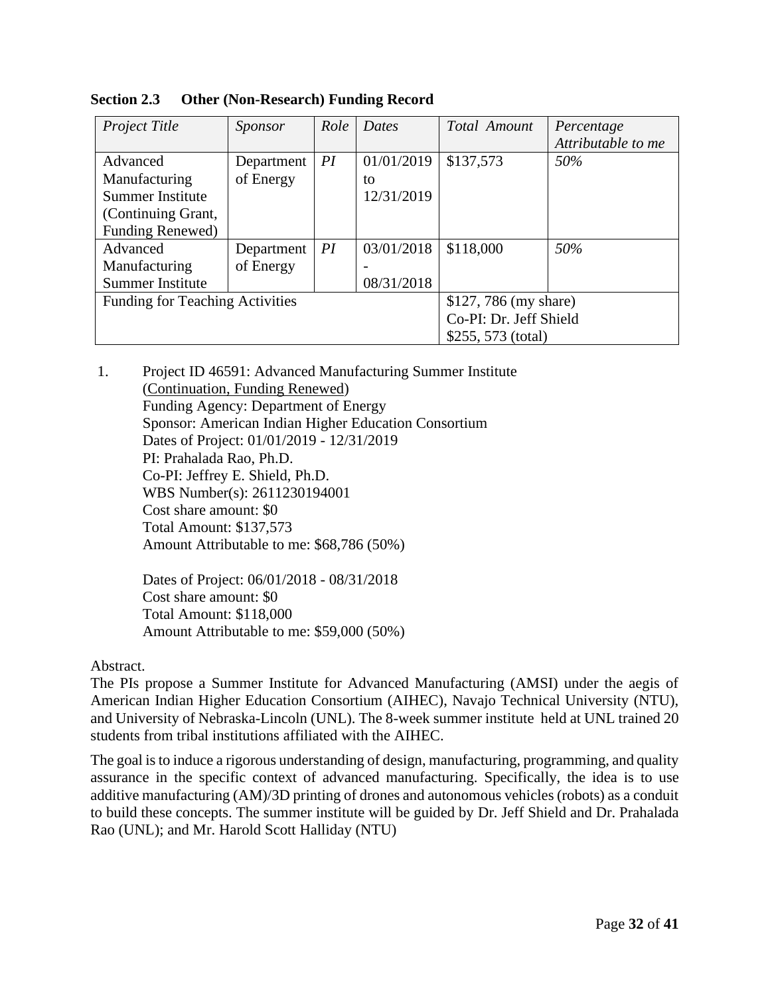| Project Title                          | Sponsor    | Role | <b>Dates</b>           | Total Amount          | Percentage         |
|----------------------------------------|------------|------|------------------------|-----------------------|--------------------|
|                                        |            |      |                        |                       | Attributable to me |
| Advanced                               | Department | PI   | 01/01/2019             | \$137,573             | 50%                |
| Manufacturing                          | of Energy  |      | to                     |                       |                    |
| <b>Summer Institute</b>                |            |      | 12/31/2019             |                       |                    |
| (Continuing Grant,                     |            |      |                        |                       |                    |
| Funding Renewed)                       |            |      |                        |                       |                    |
| Advanced                               | Department | PI   | 03/01/2018             | \$118,000             | 50%                |
| Manufacturing                          | of Energy  |      |                        |                       |                    |
| Summer Institute                       |            |      | 08/31/2018             |                       |                    |
| <b>Funding for Teaching Activities</b> |            |      |                        | \$127, 786 (my share) |                    |
|                                        |            |      | Co-PI: Dr. Jeff Shield |                       |                    |
|                                        |            |      | \$255, 573 (total)     |                       |                    |

**Section 2.3 Other (Non-Research) Funding Record** 

1. Project ID 46591: Advanced Manufacturing Summer Institute (Continuation, Funding Renewed) Funding Agency: Department of Energy Sponsor: American Indian Higher Education Consortium Dates of Project: 01/01/2019 - 12/31/2019 PI: Prahalada Rao, Ph.D. Co-PI: Jeffrey E. Shield, Ph.D. WBS Number(s): 2611230194001 Cost share amount: \$0 Total Amount: \$137,573 Amount Attributable to me: \$68,786 (50%)

> Dates of Project: 06/01/2018 - 08/31/2018 Cost share amount: \$0 Total Amount: \$118,000 Amount Attributable to me: \$59,000 (50%)

# Abstract.

The PIs propose a Summer Institute for Advanced Manufacturing (AMSI) under the aegis of American Indian Higher Education Consortium (AIHEC), Navajo Technical University (NTU), and University of Nebraska-Lincoln (UNL). The 8-week summer institute held at UNL trained 20 students from tribal institutions affiliated with the AIHEC.

The goal is to induce a rigorous understanding of design, manufacturing, programming, and quality assurance in the specific context of advanced manufacturing. Specifically, the idea is to use additive manufacturing (AM)/3D printing of drones and autonomous vehicles (robots) as a conduit to build these concepts. The summer institute will be guided by Dr. Jeff Shield and Dr. Prahalada Rao (UNL); and Mr. Harold Scott Halliday (NTU)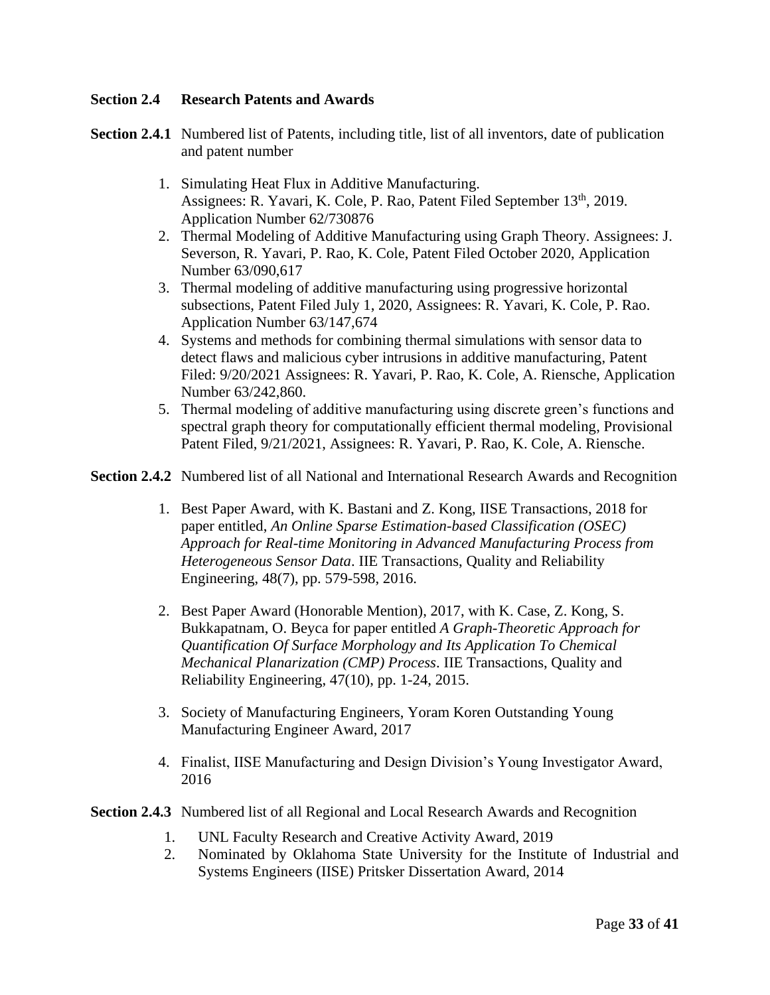# **Section 2.4 Research Patents and Awards**

**Section 2.4.1** Numbered list of Patents, including title, list of all inventors, date of publication and patent number

- 1. Simulating Heat Flux in Additive Manufacturing. Assignees: R. Yavari, K. Cole, P. Rao, Patent Filed September 13<sup>th</sup>, 2019. Application Number 62/730876
- 2. Thermal Modeling of Additive Manufacturing using Graph Theory. Assignees: J. Severson, R. Yavari, P. Rao, K. Cole, Patent Filed October 2020, Application Number 63/090,617
- 3. Thermal modeling of additive manufacturing using progressive horizontal subsections, Patent Filed July 1, 2020, Assignees: R. Yavari, K. Cole, P. Rao. Application Number 63/147,674
- 4. Systems and methods for combining thermal simulations with sensor data to detect flaws and malicious cyber intrusions in additive manufacturing, Patent Filed: 9/20/2021 Assignees: R. Yavari, P. Rao, K. Cole, A. Riensche, Application Number 63/242,860.
- 5. Thermal modeling of additive manufacturing using discrete green's functions and spectral graph theory for computationally efficient thermal modeling, Provisional Patent Filed, 9/21/2021, Assignees: R. Yavari, P. Rao, K. Cole, A. Riensche.

**Section 2.4.2** Numbered list of all National and International Research Awards and Recognition

- 1. Best Paper Award, with K. Bastani and Z. Kong, IISE Transactions, 2018 for paper entitled, *An Online Sparse Estimation-based Classification (OSEC) Approach for Real-time Monitoring in Advanced Manufacturing Process from Heterogeneous Sensor Data*. IIE Transactions, Quality and Reliability Engineering, 48(7), pp. 579-598, 2016.
- 2. Best Paper Award (Honorable Mention), 2017, with K. Case, Z. Kong, S. Bukkapatnam, O. Beyca for paper entitled *A Graph-Theoretic Approach for Quantification Of Surface Morphology and Its Application To Chemical Mechanical Planarization (CMP) Process*. IIE Transactions, Quality and Reliability Engineering, 47(10), pp. 1-24, 2015.
- 3. Society of Manufacturing Engineers, Yoram Koren Outstanding Young Manufacturing Engineer Award, 2017
- 4. Finalist, IISE Manufacturing and Design Division's Young Investigator Award, 2016
- **Section 2.4.3** Numbered list of all Regional and Local Research Awards and Recognition
	- 1. UNL Faculty Research and Creative Activity Award, 2019
	- 2. Nominated by Oklahoma State University for the Institute of Industrial and Systems Engineers (IISE) Pritsker Dissertation Award, 2014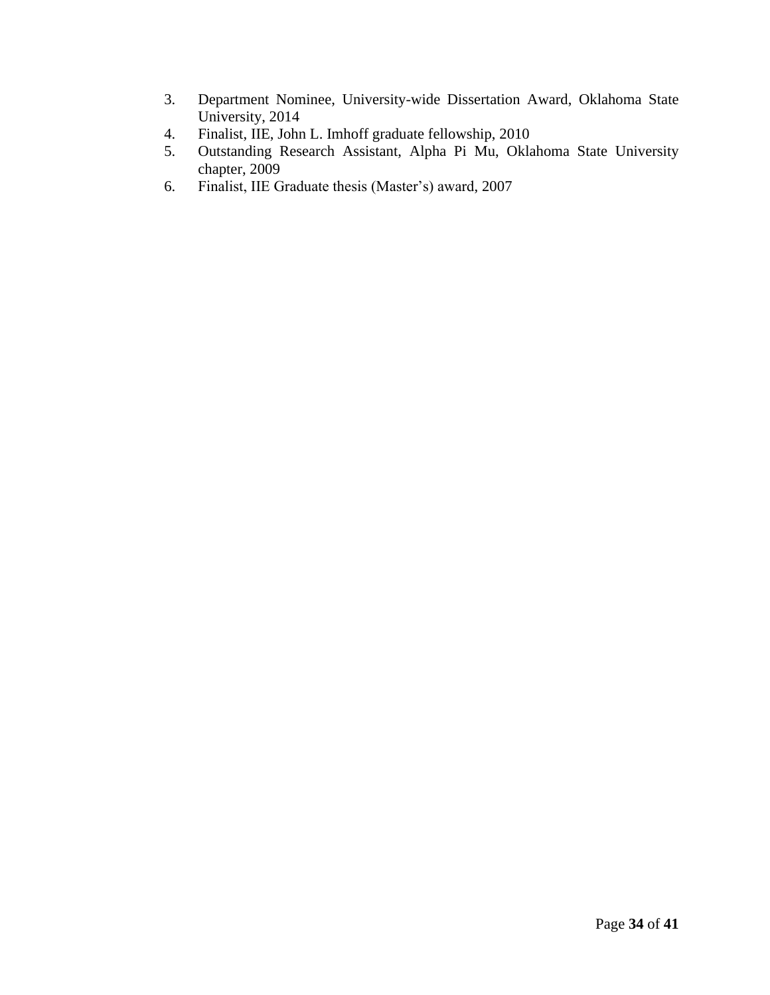- 3. Department Nominee, University-wide Dissertation Award, Oklahoma State University, 2014
- 4. Finalist, IIE, John L. Imhoff graduate fellowship, 2010
- 5. Outstanding Research Assistant, Alpha Pi Mu, Oklahoma State University chapter, 2009
- 6. Finalist, IIE Graduate thesis (Master's) award, 2007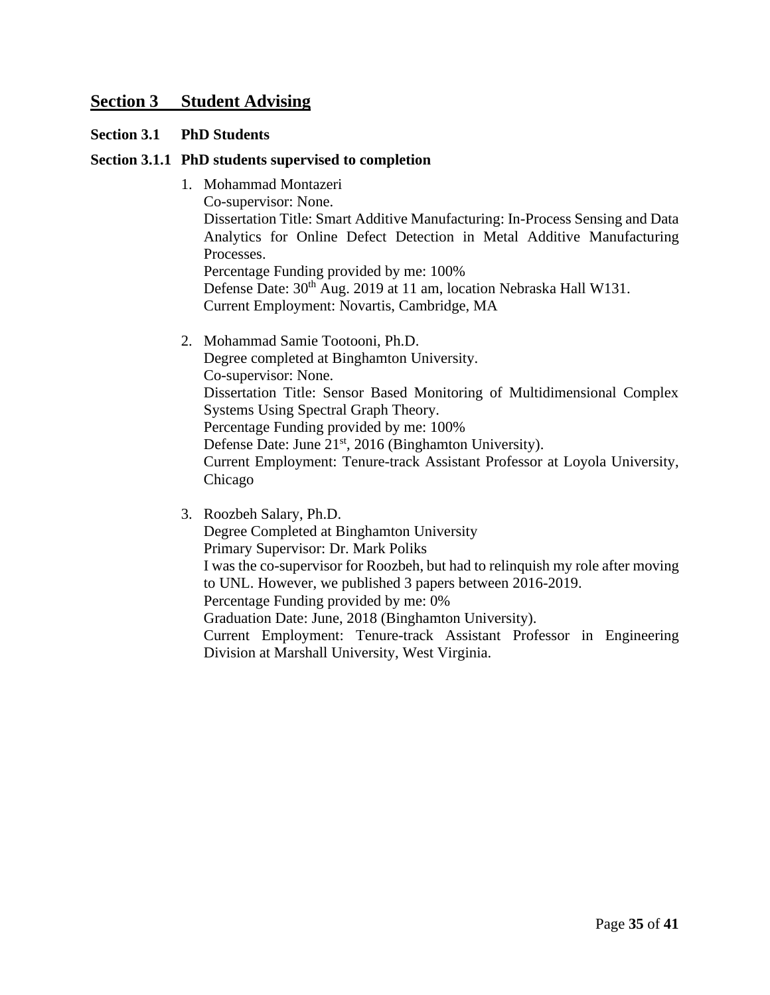# **Section 3 Student Advising**

#### **Section 3.1 PhD Students**

#### **Section 3.1.1 PhD students supervised to completion**

- 1. Mohammad Montazeri Co-supervisor: None. Dissertation Title: Smart Additive Manufacturing: In-Process Sensing and Data Analytics for Online Defect Detection in Metal Additive Manufacturing Processes. Percentage Funding provided by me: 100% Defense Date: 30<sup>th</sup> Aug. 2019 at 11 am, location Nebraska Hall W131. Current Employment: Novartis, Cambridge, MA
- 2. Mohammad Samie Tootooni, Ph.D. Degree completed at Binghamton University. Co-supervisor: None. Dissertation Title: Sensor Based Monitoring of Multidimensional Complex Systems Using Spectral Graph Theory. Percentage Funding provided by me: 100% Defense Date: June 21<sup>st</sup>, 2016 (Binghamton University). Current Employment: Tenure-track Assistant Professor at Loyola University, Chicago

3. Roozbeh Salary, Ph.D. Degree Completed at Binghamton University Primary Supervisor: Dr. Mark Poliks I was the co-supervisor for Roozbeh, but had to relinquish my role after moving to UNL. However, we published 3 papers between 2016-2019. Percentage Funding provided by me: 0% Graduation Date: June, 2018 (Binghamton University). Current Employment: Tenure-track Assistant Professor in Engineering Division at Marshall University, West Virginia.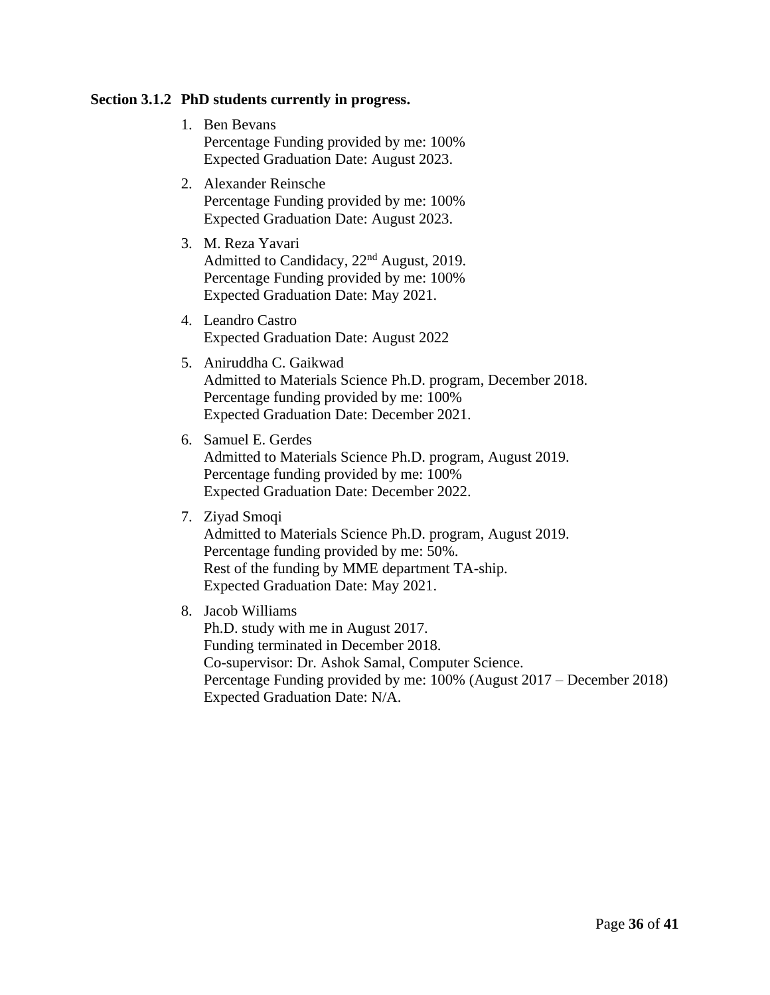### **Section 3.1.2 PhD students currently in progress.**

- 1. Ben Bevans Percentage Funding provided by me: 100% Expected Graduation Date: August 2023.
- 2. Alexander Reinsche Percentage Funding provided by me: 100% Expected Graduation Date: August 2023.
- 3. M. Reza Yavari Admitted to Candidacy, 22nd August, 2019. Percentage Funding provided by me: 100% Expected Graduation Date: May 2021.
- 4. Leandro Castro Expected Graduation Date: August 2022
- 5. Aniruddha C. Gaikwad Admitted to Materials Science Ph.D. program, December 2018. Percentage funding provided by me: 100% Expected Graduation Date: December 2021.
- 6. Samuel E. Gerdes Admitted to Materials Science Ph.D. program, August 2019. Percentage funding provided by me: 100% Expected Graduation Date: December 2022.
- 7. Ziyad Smoqi

Admitted to Materials Science Ph.D. program, August 2019. Percentage funding provided by me: 50%. Rest of the funding by MME department TA-ship. Expected Graduation Date: May 2021.

8. Jacob Williams

Ph.D. study with me in August 2017. Funding terminated in December 2018. Co-supervisor: Dr. Ashok Samal, Computer Science. Percentage Funding provided by me: 100% (August 2017 – December 2018) Expected Graduation Date: N/A.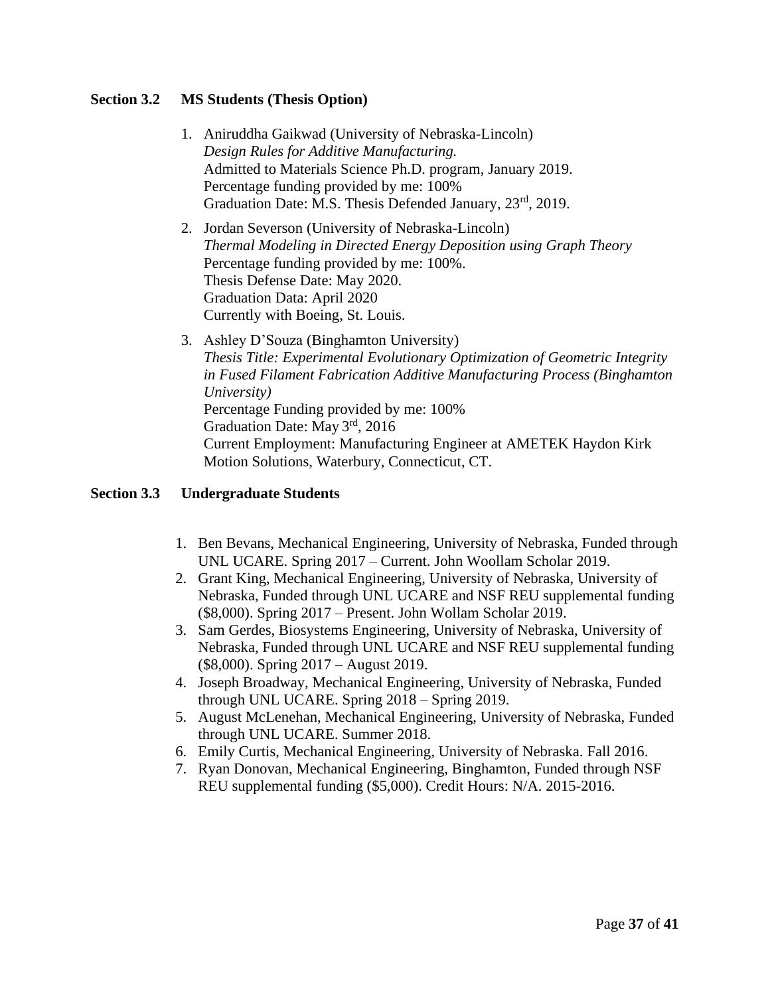# **Section 3.2 MS Students (Thesis Option)**

- 1. Aniruddha Gaikwad (University of Nebraska-Lincoln) *Design Rules for Additive Manufacturing.* Admitted to Materials Science Ph.D. program, January 2019. Percentage funding provided by me: 100% Graduation Date: M.S. Thesis Defended January, 23<sup>rd</sup>, 2019.
- 2. Jordan Severson (University of Nebraska-Lincoln) *Thermal Modeling in Directed Energy Deposition using Graph Theory* Percentage funding provided by me: 100%. Thesis Defense Date: May 2020. Graduation Data: April 2020 Currently with Boeing, St. Louis.
- 3. Ashley D'Souza (Binghamton University) *Thesis Title: Experimental Evolutionary Optimization of Geometric Integrity in Fused Filament Fabrication Additive Manufacturing Process (Binghamton University)* Percentage Funding provided by me: 100% Graduation Date: May 3rd, 2016 Current Employment: Manufacturing Engineer at AMETEK Haydon Kirk Motion Solutions, Waterbury, Connecticut, CT.

# **Section 3.3 Undergraduate Students**

- 1. Ben Bevans, Mechanical Engineering, University of Nebraska, Funded through UNL UCARE. Spring 2017 – Current. John Woollam Scholar 2019.
- 2. Grant King, Mechanical Engineering, University of Nebraska, University of Nebraska, Funded through UNL UCARE and NSF REU supplemental funding (\$8,000). Spring 2017 – Present. John Wollam Scholar 2019.
- 3. Sam Gerdes, Biosystems Engineering, University of Nebraska, University of Nebraska, Funded through UNL UCARE and NSF REU supplemental funding (\$8,000). Spring 2017 – August 2019.
- 4. Joseph Broadway, Mechanical Engineering, University of Nebraska, Funded through UNL UCARE. Spring 2018 – Spring 2019.
- 5. August McLenehan, Mechanical Engineering, University of Nebraska, Funded through UNL UCARE. Summer 2018.
- 6. Emily Curtis, Mechanical Engineering, University of Nebraska. Fall 2016.
- 7. Ryan Donovan, Mechanical Engineering, Binghamton, Funded through NSF REU supplemental funding (\$5,000). Credit Hours: N/A. 2015-2016.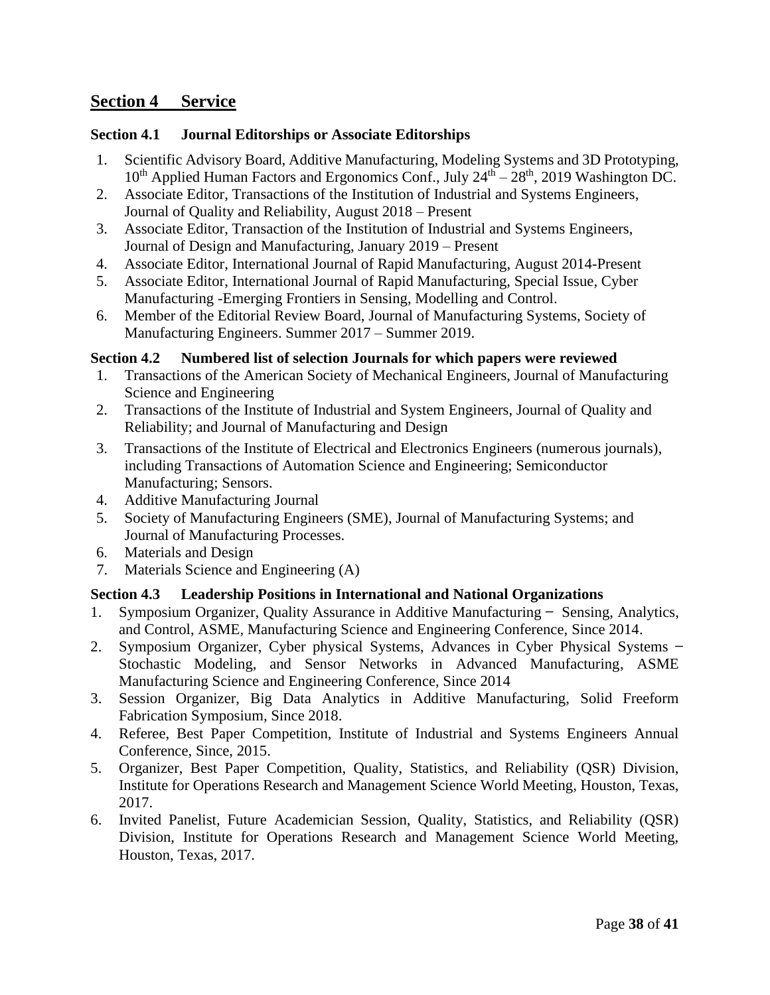# **Section 4 Service**

# **Section 4.1 Journal Editorships or Associate Editorships**

- 1. Scientific Advisory Board, Additive Manufacturing, Modeling Systems and 3D Prototyping,  $10^{th}$  Applied Human Factors and Ergonomics Conf., July  $24^{th} - 28^{th}$ , 2019 Washington DC.
- 2. Associate Editor, Transactions of the Institution of Industrial and Systems Engineers, Journal of Quality and Reliability, August 2018 – Present
- 3. Associate Editor, Transaction of the Institution of Industrial and Systems Engineers, Journal of Design and Manufacturing, January 2019 – Present
- 4. Associate Editor, International Journal of Rapid Manufacturing, August 2014-Present
- 5. Associate Editor, International Journal of Rapid Manufacturing, Special Issue, Cyber Manufacturing -Emerging Frontiers in Sensing, Modelling and Control.
- 6. Member of the Editorial Review Board, Journal of Manufacturing Systems, Society of Manufacturing Engineers. Summer 2017 – Summer 2019.

# **Section 4.2 Numbered list of selection Journals for which papers were reviewed**

- 1. Transactions of the American Society of Mechanical Engineers, Journal of Manufacturing Science and Engineering
- 2. Transactions of the Institute of Industrial and System Engineers, Journal of Quality and Reliability; and Journal of Manufacturing and Design
- 3. Transactions of the Institute of Electrical and Electronics Engineers (numerous journals), including Transactions of Automation Science and Engineering; Semiconductor Manufacturing; Sensors.
- 4. Additive Manufacturing Journal
- 5. Society of Manufacturing Engineers (SME), Journal of Manufacturing Systems; and Journal of Manufacturing Processes.
- 6. Materials and Design
- 7. Materials Science and Engineering (A)

# **Section 4.3 Leadership Positions in International and National Organizations**

- 1. Symposium Organizer, Quality Assurance in Additive Manufacturing ̶ Sensing, Analytics, and Control, ASME, Manufacturing Science and Engineering Conference, Since 2014.
- 2. Symposium Organizer, Cyber physical Systems, Advances in Cyber Physical Systems ̶ Stochastic Modeling, and Sensor Networks in Advanced Manufacturing, ASME Manufacturing Science and Engineering Conference, Since 2014
- 3. Session Organizer, Big Data Analytics in Additive Manufacturing, Solid Freeform Fabrication Symposium, Since 2018.
- 4. Referee, Best Paper Competition, Institute of Industrial and Systems Engineers Annual Conference, Since, 2015.
- 5. Organizer, Best Paper Competition, Quality, Statistics, and Reliability (QSR) Division, Institute for Operations Research and Management Science World Meeting, Houston, Texas, 2017.
- 6. Invited Panelist, Future Academician Session, Quality, Statistics, and Reliability (QSR) Division, Institute for Operations Research and Management Science World Meeting, Houston, Texas, 2017.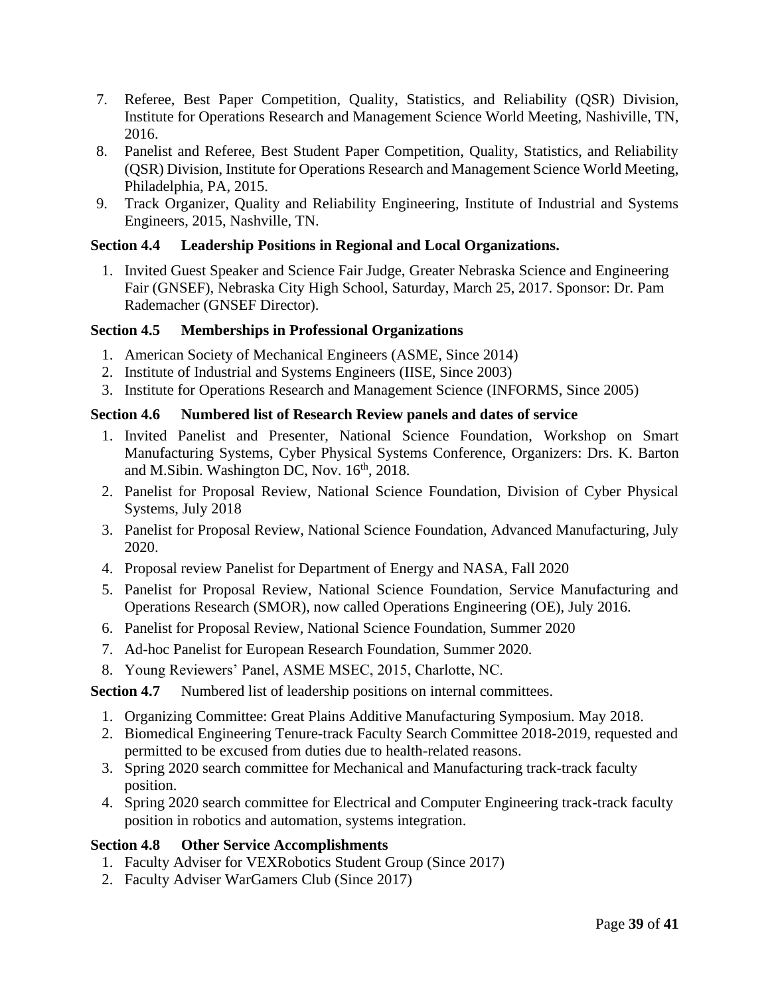- 7. Referee, Best Paper Competition, Quality, Statistics, and Reliability (QSR) Division, Institute for Operations Research and Management Science World Meeting, Nashiville, TN, 2016.
- 8. Panelist and Referee, Best Student Paper Competition, Quality, Statistics, and Reliability (QSR) Division, Institute for Operations Research and Management Science World Meeting, Philadelphia, PA, 2015.
- 9. Track Organizer, Quality and Reliability Engineering, Institute of Industrial and Systems Engineers, 2015, Nashville, TN.

# **Section 4.4 Leadership Positions in Regional and Local Organizations.**

1. Invited Guest Speaker and Science Fair Judge, Greater Nebraska Science and Engineering Fair (GNSEF), Nebraska City High School, Saturday, March 25, 2017. Sponsor: Dr. Pam Rademacher (GNSEF Director).

# **Section 4.5 Memberships in Professional Organizations**

- 1. American Society of Mechanical Engineers (ASME, Since 2014)
- 2. Institute of Industrial and Systems Engineers (IISE, Since 2003)
- 3. Institute for Operations Research and Management Science (INFORMS, Since 2005)

# **Section 4.6 Numbered list of Research Review panels and dates of service**

- 1. Invited Panelist and Presenter, National Science Foundation, Workshop on Smart Manufacturing Systems, Cyber Physical Systems Conference, Organizers: Drs. K. Barton and M.Sibin. Washington DC, Nov. 16<sup>th</sup>, 2018.
- 2. Panelist for Proposal Review, National Science Foundation, Division of Cyber Physical Systems, July 2018
- 3. Panelist for Proposal Review, National Science Foundation, Advanced Manufacturing, July 2020.
- 4. Proposal review Panelist for Department of Energy and NASA, Fall 2020
- 5. Panelist for Proposal Review, National Science Foundation, Service Manufacturing and Operations Research (SMOR), now called Operations Engineering (OE), July 2016.
- 6. Panelist for Proposal Review, National Science Foundation, Summer 2020
- 7. Ad-hoc Panelist for European Research Foundation, Summer 2020.
- 8. Young Reviewers' Panel, ASME MSEC, 2015, Charlotte, NC.

**Section 4.7** Numbered list of leadership positions on internal committees.

- 1. Organizing Committee: Great Plains Additive Manufacturing Symposium. May 2018.
- 2. Biomedical Engineering Tenure-track Faculty Search Committee 2018-2019, requested and permitted to be excused from duties due to health-related reasons.
- 3. Spring 2020 search committee for Mechanical and Manufacturing track-track faculty position.
- 4. Spring 2020 search committee for Electrical and Computer Engineering track-track faculty position in robotics and automation, systems integration.

# **Section 4.8 Other Service Accomplishments**

- 1. Faculty Adviser for VEXRobotics Student Group (Since 2017)
- 2. Faculty Adviser WarGamers Club (Since 2017)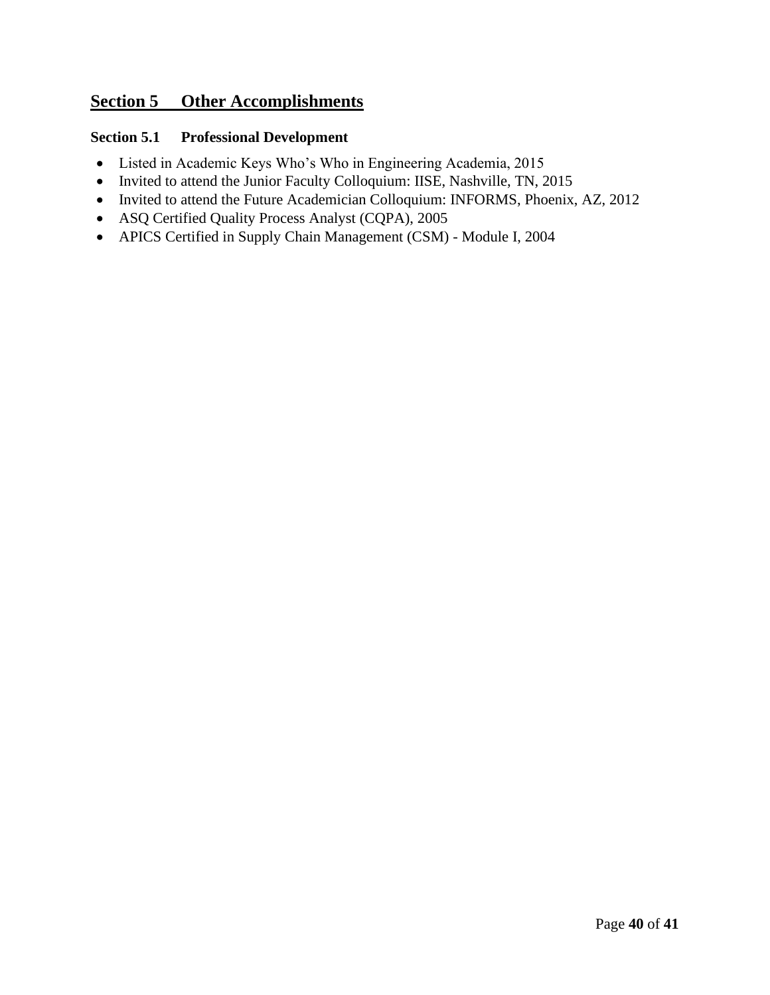# **Section 5 Other Accomplishments**

# **Section 5.1 Professional Development**

- Listed in Academic Keys Who's Who in Engineering Academia, 2015
- Invited to attend the Junior Faculty Colloquium: IISE, Nashville, TN, 2015
- Invited to attend the Future Academician Colloquium: INFORMS, Phoenix, AZ, 2012
- ASQ Certified Quality Process Analyst (CQPA), 2005
- APICS Certified in Supply Chain Management (CSM) Module I, 2004